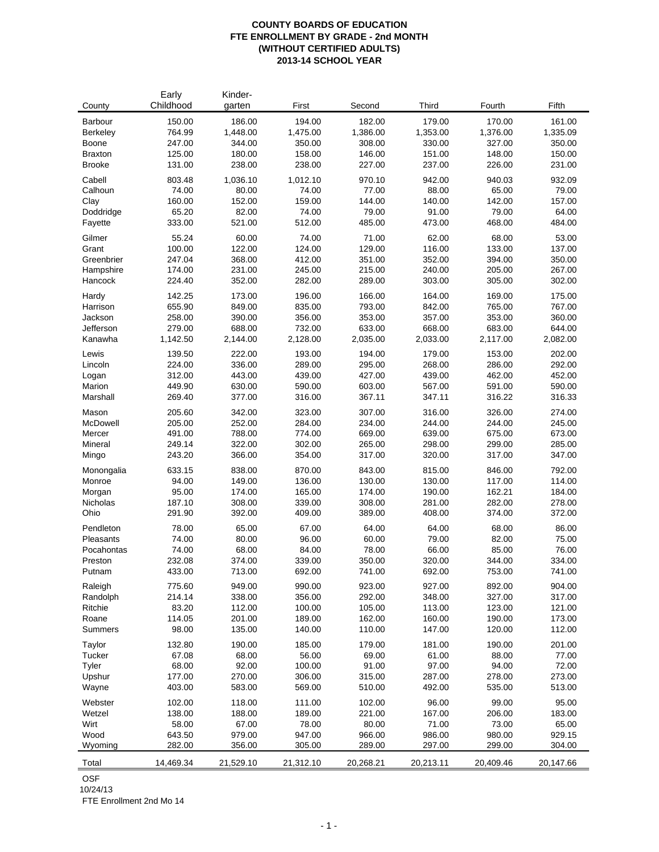## **COUNTY BOARDS OF EDUCATION FTE ENROLLMENT BY GRADE - 2nd MONTH (WITHOUT CERTIFIED ADULTS) 2013-14 SCHOOL YEAR**

| County              | Early<br>Childhood | Kinder-<br>garten | First            | Second           | Third            | Fourth           | Fifth            |
|---------------------|--------------------|-------------------|------------------|------------------|------------------|------------------|------------------|
| Barbour             | 150.00             | 186.00            | 194.00           | 182.00           | 179.00           | 170.00           | 161.00           |
| Berkeley            | 764.99             | 1,448.00          | 1,475.00         | 1,386.00         | 1,353.00         | 1,376.00         | 1,335.09         |
| Boone               | 247.00             | 344.00            | 350.00           | 308.00           | 330.00           | 327.00           | 350.00           |
| <b>Braxton</b>      | 125.00             | 180.00            | 158.00           | 146.00           | 151.00           | 148.00           | 150.00           |
| <b>Brooke</b>       | 131.00             | 238.00            | 238.00           | 227.00           | 237.00           | 226.00           | 231.00           |
| Cabell              | 803.48             | 1,036.10          | 1,012.10         | 970.10           | 942.00           | 940.03           | 932.09           |
| Calhoun             | 74.00              | 80.00             | 74.00            | 77.00            | 88.00            | 65.00            | 79.00            |
| Clay                | 160.00             | 152.00            | 159.00           | 144.00           | 140.00           | 142.00           | 157.00           |
| Doddridge           | 65.20              | 82.00             | 74.00            | 79.00            | 91.00            | 79.00            | 64.00            |
| Fayette             | 333.00             | 521.00            | 512.00           | 485.00           | 473.00           | 468.00           | 484.00           |
| Gilmer              | 55.24              | 60.00             | 74.00            | 71.00            | 62.00            | 68.00            | 53.00            |
| Grant               | 100.00             | 122.00            | 124.00           | 129.00           | 116.00           | 133.00           | 137.00           |
| Greenbrier          | 247.04             | 368.00            | 412.00           | 351.00           | 352.00           | 394.00           | 350.00           |
| Hampshire           | 174.00             | 231.00            | 245.00           | 215.00           | 240.00           | 205.00           | 267.00           |
| Hancock             | 224.40             | 352.00            | 282.00           | 289.00           | 303.00           | 305.00           | 302.00           |
| Hardy               | 142.25             | 173.00            | 196.00           | 166.00           | 164.00           | 169.00           | 175.00           |
| Harrison            | 655.90             | 849.00            | 835.00           | 793.00           | 842.00           | 765.00           | 767.00           |
| Jackson             | 258.00             | 390.00            | 356.00           | 353.00           | 357.00           | 353.00           | 360.00           |
| Jefferson           | 279.00             | 688.00            | 732.00           | 633.00           | 668.00           | 683.00           | 644.00           |
| Kanawha             | 1,142.50           | 2,144.00          | 2,128.00         | 2,035.00         | 2,033.00         | 2,117.00         | 2,082.00         |
| Lewis               | 139.50             | 222.00            | 193.00           | 194.00           | 179.00           | 153.00           | 202.00           |
| Lincoln             | 224.00             | 336.00            | 289.00           | 295.00           | 268.00           | 286.00           | 292.00           |
| Logan               | 312.00             | 443.00            | 439.00           | 427.00           | 439.00           | 462.00           | 452.00           |
| Marion              | 449.90             | 630.00            | 590.00           | 603.00           | 567.00           | 591.00           | 590.00           |
| Marshall            | 269.40             | 377.00            | 316.00           | 367.11           | 347.11           | 316.22           | 316.33           |
| Mason               | 205.60             | 342.00            | 323.00           | 307.00           | 316.00           | 326.00           | 274.00           |
| McDowell            | 205.00             | 252.00            | 284.00           | 234.00           | 244.00           | 244.00           | 245.00           |
| Mercer              | 491.00             | 788.00            | 774.00           | 669.00           | 639.00           | 675.00           | 673.00           |
| Mineral             | 249.14             | 322.00            | 302.00           | 265.00           | 298.00           | 299.00           | 285.00           |
| Mingo               | 243.20             | 366.00            | 354.00           | 317.00           | 320.00           | 317.00           | 347.00           |
| Monongalia          | 633.15             | 838.00            | 870.00           | 843.00           | 815.00           | 846.00           | 792.00           |
| Monroe              | 94.00              | 149.00            | 136.00           | 130.00           | 130.00           | 117.00           | 114.00           |
| Morgan              | 95.00              | 174.00            | 165.00           | 174.00           | 190.00           | 162.21           | 184.00           |
| Nicholas            | 187.10             | 308.00            | 339.00           | 308.00           | 281.00           | 282.00           | 278.00           |
| Ohio                | 291.90             | 392.00            | 409.00           | 389.00           | 408.00           | 374.00           | 372.00           |
| Pendleton           | 78.00              | 65.00             | 67.00            | 64.00            | 64.00            | 68.00            | 86.00            |
| Pleasants           | 74.00              | 80.00             | 96.00            | 60.00            | 79.00            | 82.00            | 75.00            |
| Pocahontas          | 74.00              | 68.00             | 84.00            | 78.00            | 66.00            | 85.00            | 76.00            |
| Preston             | 232.08<br>433.00   | 374.00<br>713.00  | 339.00<br>692.00 | 350.00           | 320.00<br>692.00 | 344.00           | 334.00<br>741.00 |
| Putnam              |                    |                   |                  | 741.00           |                  | 753.00           |                  |
| Raleigh             | 775.60             | 949.00            | 990.00<br>356.00 | 923.00<br>292.00 | 927.00           | 892.00           | 904.00           |
| Randolph<br>Ritchie | 214.14<br>83.20    | 338.00<br>112.00  | 100.00           | 105.00           | 348.00<br>113.00 | 327.00<br>123.00 | 317.00<br>121.00 |
| Roane               | 114.05             | 201.00            | 189.00           | 162.00           | 160.00           | 190.00           | 173.00           |
| <b>Summers</b>      | 98.00              | 135.00            | 140.00           | 110.00           | 147.00           | 120.00           | 112.00           |
| Taylor              | 132.80             | 190.00            | 185.00           | 179.00           | 181.00           | 190.00           | 201.00           |
| Tucker              | 67.08              | 68.00             | 56.00            | 69.00            | 61.00            | 88.00            | 77.00            |
| Tyler               | 68.00              | 92.00             | 100.00           | 91.00            | 97.00            | 94.00            | 72.00            |
| Upshur              | 177.00             | 270.00            | 306.00           | 315.00           | 287.00           | 278.00           | 273.00           |
| Wayne               | 403.00             | 583.00            | 569.00           | 510.00           | 492.00           | 535.00           | 513.00           |
| Webster             | 102.00             | 118.00            | 111.00           | 102.00           | 96.00            | 99.00            | 95.00            |
| Wetzel              | 138.00             | 188.00            | 189.00           | 221.00           | 167.00           | 206.00           | 183.00           |
| Wirt                | 58.00              | 67.00             | 78.00            | 80.00            | 71.00            | 73.00            | 65.00            |
| Wood                | 643.50             | 979.00            | 947.00           | 966.00           | 986.00           | 980.00           | 929.15           |
| Wyoming             | 282.00             | 356.00            | 305.00           | 289.00           | 297.00           | 299.00           | 304.00           |
| Total               | 14,469.34          | 21,529.10         | 21,312.10        | 20,268.21        | 20,213.11        | 20,409.46        | 20,147.66        |

OSF

10/24/13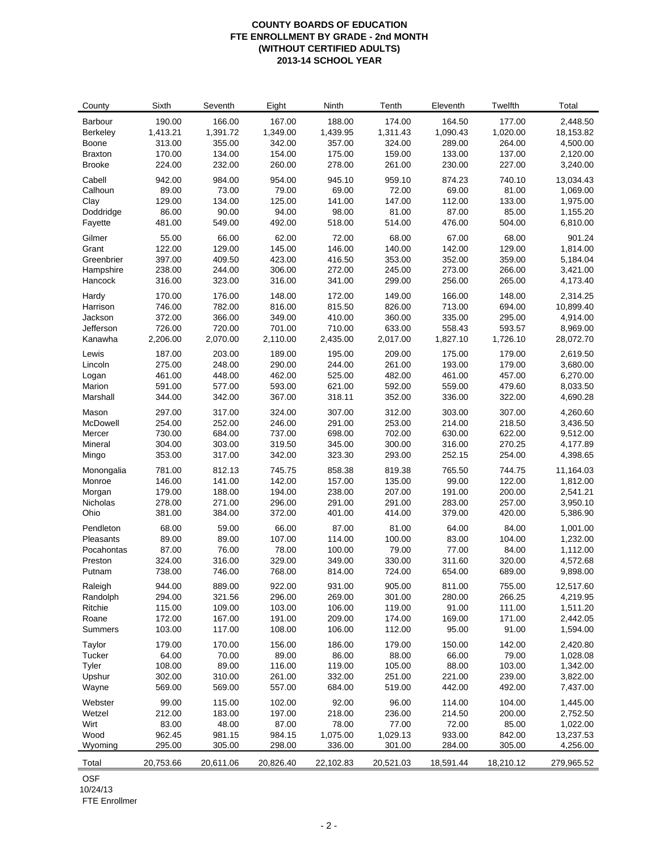## **COUNTY BOARDS OF EDUCATION FTE ENROLLMENT BY GRADE - 2nd MONTH (WITHOUT CERTIFIED ADULTS) 2013-14 SCHOOL YEAR**

| County           | Sixth            | Seventh          | Eight            | Ninth            | Tenth     | Eleventh         | Twelfth          | Total                |
|------------------|------------------|------------------|------------------|------------------|-----------|------------------|------------------|----------------------|
| Barbour          | 190.00           | 166.00           | 167.00           | 188.00           | 174.00    | 164.50           | 177.00           | 2,448.50             |
| <b>Berkeley</b>  | 1,413.21         | 1,391.72         | 1,349.00         | 1,439.95         | 1,311.43  | 1,090.43         | 1,020.00         | 18,153.82            |
| Boone            | 313.00           | 355.00           | 342.00           | 357.00           | 324.00    | 289.00           | 264.00           | 4,500.00             |
| <b>Braxton</b>   | 170.00           | 134.00           | 154.00           | 175.00           | 159.00    | 133.00           | 137.00           | 2,120.00             |
| <b>Brooke</b>    | 224.00           | 232.00           | 260.00           | 278.00           | 261.00    | 230.00           | 227.00           | 3,240.00             |
| Cabell           | 942.00           | 984.00           | 954.00           | 945.10           | 959.10    | 874.23           | 740.10           | 13,034.43            |
| Calhoun          | 89.00            | 73.00            | 79.00            | 69.00            | 72.00     | 69.00            | 81.00            | 1,069.00             |
| Clay             | 129.00           | 134.00           | 125.00           | 141.00           | 147.00    | 112.00           | 133.00           | 1,975.00             |
| Doddridge        | 86.00            | 90.00            | 94.00            | 98.00            | 81.00     | 87.00            | 85.00            | 1,155.20             |
| Fayette          | 481.00           | 549.00           | 492.00           | 518.00           | 514.00    | 476.00           | 504.00           | 6,810.00             |
| Gilmer           | 55.00            | 66.00            | 62.00            | 72.00            | 68.00     | 67.00            | 68.00            | 901.24               |
| Grant            | 122.00           | 129.00           | 145.00           | 146.00           | 140.00    | 142.00           | 129.00           | 1,814.00             |
| Greenbrier       | 397.00           | 409.50           | 423.00           | 416.50           | 353.00    | 352.00           | 359.00           | 5,184.04             |
| Hampshire        | 238.00           | 244.00           | 306.00           | 272.00           | 245.00    | 273.00           | 266.00           | 3,421.00             |
| Hancock          | 316.00           | 323.00           | 316.00           | 341.00           | 299.00    | 256.00           | 265.00           | 4,173.40             |
| Hardy            | 170.00           | 176.00           | 148.00           | 172.00           | 149.00    | 166.00           | 148.00           | 2,314.25             |
| Harrison         | 746.00           | 782.00           | 816.00           | 815.50           | 826.00    | 713.00           | 694.00           | 10,899.40            |
| Jackson          | 372.00           | 366.00           | 349.00           | 410.00           | 360.00    | 335.00           | 295.00           | 4,914.00             |
| Jefferson        | 726.00           | 720.00           | 701.00           | 710.00           | 633.00    | 558.43           | 593.57           | 8,969.00             |
| Kanawha          | 2,206.00         | 2,070.00         | 2,110.00         | 2,435.00         | 2,017.00  | 1,827.10         | 1,726.10         | 28,072.70            |
|                  |                  |                  |                  |                  | 209.00    |                  |                  |                      |
| Lewis<br>Lincoln | 187.00<br>275.00 | 203.00<br>248.00 | 189.00<br>290.00 | 195.00<br>244.00 | 261.00    | 175.00<br>193.00 | 179.00<br>179.00 | 2,619.50<br>3,680.00 |
| Logan            | 461.00           | 448.00           | 462.00           | 525.00           | 482.00    | 461.00           | 457.00           | 6,270.00             |
| Marion           | 591.00           | 577.00           | 593.00           | 621.00           | 592.00    | 559.00           | 479.60           | 8,033.50             |
| Marshall         | 344.00           | 342.00           | 367.00           | 318.11           | 352.00    | 336.00           | 322.00           | 4,690.28             |
|                  |                  |                  |                  |                  |           |                  |                  |                      |
| Mason            | 297.00           | 317.00           | 324.00           | 307.00           | 312.00    | 303.00           | 307.00           | 4,260.60             |
| McDowell         | 254.00           | 252.00           | 246.00           | 291.00           | 253.00    | 214.00           | 218.50           | 3,436.50             |
| Mercer           | 730.00           | 684.00           | 737.00           | 698.00           | 702.00    | 630.00           | 622.00           | 9,512.00             |
| Mineral          | 304.00           | 303.00           | 319.50           | 345.00           | 300.00    | 316.00           | 270.25           | 4,177.89             |
| Mingo            | 353.00           | 317.00           | 342.00           | 323.30           | 293.00    | 252.15           | 254.00           | 4,398.65             |
| Monongalia       | 781.00           | 812.13           | 745.75           | 858.38           | 819.38    | 765.50           | 744.75           | 11,164.03            |
| Monroe           | 146.00           | 141.00           | 142.00           | 157.00           | 135.00    | 99.00            | 122.00           | 1,812.00             |
| Morgan           | 179.00           | 188.00           | 194.00           | 238.00           | 207.00    | 191.00           | 200.00           | 2,541.21             |
| Nicholas         | 278.00           | 271.00           | 296.00           | 291.00           | 291.00    | 283.00           | 257.00           | 3,950.10             |
| Ohio             | 381.00           | 384.00           | 372.00           | 401.00           | 414.00    | 379.00           | 420.00           | 5,386.90             |
| Pendleton        | 68.00            | 59.00            | 66.00            | 87.00            | 81.00     | 64.00            | 84.00            | 1,001.00             |
| Pleasants        | 89.00            | 89.00            | 107.00           | 114.00           | 100.00    | 83.00            | 104.00           | 1,232.00             |
| Pocahontas       | 87.00            | 76.00            | 78.00            | 100.00           | 79.00     | 77.00            | 84.00            | 1,112.00             |
| Preston          | 324.00           | 316.00           | 329.00           | 349.00           | 330.00    | 311.60           | 320.00           | 4,572.68             |
| Putnam           | 738.00           | 746.00           | 768.00           | 814.00           | 724.00    | 654.00           | 689.00           | 9,898.00             |
| Raleigh          | 944.00           | 889.00           | 922.00           | 931.00           | 905.00    | 811.00           | 755.00           | 12,517.60            |
| Randolph         | 294.00           | 321.56           | 296.00           | 269.00           | 301.00    | 280.00           | 266.25           | 4,219.95             |
| Ritchie          | 115.00           | 109.00           | 103.00           | 106.00           | 119.00    | 91.00            | 111.00           | 1,511.20             |
| Roane            | 172.00           | 167.00           | 191.00           | 209.00           | 174.00    | 169.00           | 171.00           | 2,442.05             |
| <b>Summers</b>   | 103.00           | 117.00           | 108.00           | 106.00           | 112.00    | 95.00            | 91.00            | 1,594.00             |
| Taylor           | 179.00           | 170.00           | 156.00           | 186.00           | 179.00    | 150.00           | 142.00           | 2,420.80             |
| Tucker           | 64.00            | 70.00            | 89.00            | 86.00            | 88.00     | 66.00            | 79.00            | 1,028.08             |
| Tyler            | 108.00           | 89.00            | 116.00           | 119.00           | 105.00    | 88.00            | 103.00           | 1,342.00             |
| Upshur           | 302.00           | 310.00           | 261.00           | 332.00           | 251.00    | 221.00           | 239.00           | 3,822.00             |
| Wayne            | 569.00           | 569.00           | 557.00           | 684.00           | 519.00    | 442.00           | 492.00           | 7,437.00             |
| Webster          | 99.00            | 115.00           | 102.00           | 92.00            | 96.00     | 114.00           | 104.00           | 1,445.00             |
| Wetzel           | 212.00           | 183.00           | 197.00           | 218.00           | 236.00    | 214.50           | 200.00           | 2,752.50             |
| Wirt             | 83.00            | 48.00            | 87.00            | 78.00            | 77.00     | 72.00            | 85.00            | 1,022.00             |
| Wood             | 962.45           | 981.15           | 984.15           | 1,075.00         | 1,029.13  | 933.00           | 842.00           | 13,237.53            |
| Wyoming          | 295.00           | 305.00           | 298.00           | 336.00           | 301.00    | 284.00           | 305.00           | 4,256.00             |
| Total            | 20,753.66        | 20,611.06        | 20,826.40        | 22,102.83        | 20,521.03 | 18,591.44        | 18,210.12        | 279,965.52           |

OSF

10/24/13

FTE Enrollmer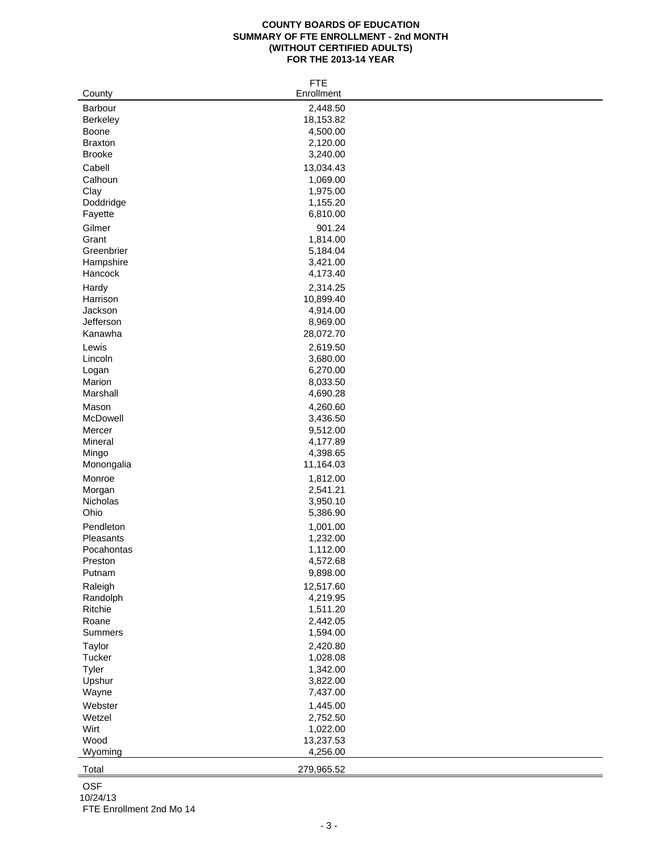## **COUNTY BOARDS OF EDUCATION SUMMARY OF FTE ENROLLMENT - 2nd MONTH (WITHOUT CERTIFIED ADULTS) FOR THE 2013-14 YEAR**

| Barbour<br>2,448.50<br>18,153.82<br>Berkeley<br>4,500.00<br>Boone<br>2,120.00<br><b>Braxton</b><br><b>Brooke</b><br>3,240.00<br>Cabell<br>13,034.43<br>Calhoun<br>1,069.00<br>Clay<br>1,975.00<br>Doddridge<br>1,155.20<br>6,810.00<br>Fayette<br>Gilmer<br>901.24<br>Grant<br>1,814.00<br>Greenbrier<br>5,184.04<br>Hampshire<br>3,421.00<br>Hancock<br>4,173.40<br>2,314.25<br>Hardy<br>10,899.40<br>Harrison<br>4,914.00<br>Jackson<br>Jefferson<br>8,969.00<br>Kanawha<br>28,072.70<br>Lewis<br>2,619.50<br>3,680.00<br>Lincoln<br>6,270.00<br>Logan<br>Marion<br>8,033.50<br>Marshall<br>4,690.28<br>Mason<br>4,260.60<br>McDowell<br>3,436.50<br>Mercer<br>9,512.00<br>Mineral<br>4,177.89<br>4,398.65<br>Mingo<br>Monongalia<br>11,164.03<br>Monroe<br>1,812.00<br>Morgan<br>2,541.21<br>Nicholas<br>3,950.10<br>Ohio<br>5,386.90<br>Pendleton<br>1,001.00<br>1,232.00<br>Pleasants<br>Pocahontas<br>1,112.00<br>Preston<br>4,572.68<br>9,898.00<br>Putnam<br>12,517.60<br>Raleigh<br>Randolph<br>4,219.95<br>Ritchie<br>1,511.20<br>Roane<br>2,442.05<br>1,594.00<br>Summers<br>Taylor<br>2,420.80<br>Tucker<br>1,028.08<br>Tyler<br>1,342.00<br>Upshur<br>3,822.00<br>7,437.00<br>Wayne<br>1,445.00<br>Webster<br>Wetzel<br>2,752.50<br>Wirt<br>1,022.00<br>Wood<br>13,237.53<br>4,256.00<br>Wyoming |        | <b>FTE</b> |
|---------------------------------------------------------------------------------------------------------------------------------------------------------------------------------------------------------------------------------------------------------------------------------------------------------------------------------------------------------------------------------------------------------------------------------------------------------------------------------------------------------------------------------------------------------------------------------------------------------------------------------------------------------------------------------------------------------------------------------------------------------------------------------------------------------------------------------------------------------------------------------------------------------------------------------------------------------------------------------------------------------------------------------------------------------------------------------------------------------------------------------------------------------------------------------------------------------------------------------------------------------------------------------------------------------------|--------|------------|
|                                                                                                                                                                                                                                                                                                                                                                                                                                                                                                                                                                                                                                                                                                                                                                                                                                                                                                                                                                                                                                                                                                                                                                                                                                                                                                               | County | Enrollment |
|                                                                                                                                                                                                                                                                                                                                                                                                                                                                                                                                                                                                                                                                                                                                                                                                                                                                                                                                                                                                                                                                                                                                                                                                                                                                                                               |        |            |
|                                                                                                                                                                                                                                                                                                                                                                                                                                                                                                                                                                                                                                                                                                                                                                                                                                                                                                                                                                                                                                                                                                                                                                                                                                                                                                               |        |            |
|                                                                                                                                                                                                                                                                                                                                                                                                                                                                                                                                                                                                                                                                                                                                                                                                                                                                                                                                                                                                                                                                                                                                                                                                                                                                                                               |        |            |
|                                                                                                                                                                                                                                                                                                                                                                                                                                                                                                                                                                                                                                                                                                                                                                                                                                                                                                                                                                                                                                                                                                                                                                                                                                                                                                               |        |            |
|                                                                                                                                                                                                                                                                                                                                                                                                                                                                                                                                                                                                                                                                                                                                                                                                                                                                                                                                                                                                                                                                                                                                                                                                                                                                                                               |        |            |
|                                                                                                                                                                                                                                                                                                                                                                                                                                                                                                                                                                                                                                                                                                                                                                                                                                                                                                                                                                                                                                                                                                                                                                                                                                                                                                               |        |            |
|                                                                                                                                                                                                                                                                                                                                                                                                                                                                                                                                                                                                                                                                                                                                                                                                                                                                                                                                                                                                                                                                                                                                                                                                                                                                                                               |        |            |
|                                                                                                                                                                                                                                                                                                                                                                                                                                                                                                                                                                                                                                                                                                                                                                                                                                                                                                                                                                                                                                                                                                                                                                                                                                                                                                               |        |            |
|                                                                                                                                                                                                                                                                                                                                                                                                                                                                                                                                                                                                                                                                                                                                                                                                                                                                                                                                                                                                                                                                                                                                                                                                                                                                                                               |        |            |
|                                                                                                                                                                                                                                                                                                                                                                                                                                                                                                                                                                                                                                                                                                                                                                                                                                                                                                                                                                                                                                                                                                                                                                                                                                                                                                               |        |            |
|                                                                                                                                                                                                                                                                                                                                                                                                                                                                                                                                                                                                                                                                                                                                                                                                                                                                                                                                                                                                                                                                                                                                                                                                                                                                                                               |        |            |
|                                                                                                                                                                                                                                                                                                                                                                                                                                                                                                                                                                                                                                                                                                                                                                                                                                                                                                                                                                                                                                                                                                                                                                                                                                                                                                               |        |            |
|                                                                                                                                                                                                                                                                                                                                                                                                                                                                                                                                                                                                                                                                                                                                                                                                                                                                                                                                                                                                                                                                                                                                                                                                                                                                                                               |        |            |
|                                                                                                                                                                                                                                                                                                                                                                                                                                                                                                                                                                                                                                                                                                                                                                                                                                                                                                                                                                                                                                                                                                                                                                                                                                                                                                               |        |            |
|                                                                                                                                                                                                                                                                                                                                                                                                                                                                                                                                                                                                                                                                                                                                                                                                                                                                                                                                                                                                                                                                                                                                                                                                                                                                                                               |        |            |
|                                                                                                                                                                                                                                                                                                                                                                                                                                                                                                                                                                                                                                                                                                                                                                                                                                                                                                                                                                                                                                                                                                                                                                                                                                                                                                               |        |            |
|                                                                                                                                                                                                                                                                                                                                                                                                                                                                                                                                                                                                                                                                                                                                                                                                                                                                                                                                                                                                                                                                                                                                                                                                                                                                                                               |        |            |
|                                                                                                                                                                                                                                                                                                                                                                                                                                                                                                                                                                                                                                                                                                                                                                                                                                                                                                                                                                                                                                                                                                                                                                                                                                                                                                               |        |            |
|                                                                                                                                                                                                                                                                                                                                                                                                                                                                                                                                                                                                                                                                                                                                                                                                                                                                                                                                                                                                                                                                                                                                                                                                                                                                                                               |        |            |
|                                                                                                                                                                                                                                                                                                                                                                                                                                                                                                                                                                                                                                                                                                                                                                                                                                                                                                                                                                                                                                                                                                                                                                                                                                                                                                               |        |            |
|                                                                                                                                                                                                                                                                                                                                                                                                                                                                                                                                                                                                                                                                                                                                                                                                                                                                                                                                                                                                                                                                                                                                                                                                                                                                                                               |        |            |
|                                                                                                                                                                                                                                                                                                                                                                                                                                                                                                                                                                                                                                                                                                                                                                                                                                                                                                                                                                                                                                                                                                                                                                                                                                                                                                               |        |            |
|                                                                                                                                                                                                                                                                                                                                                                                                                                                                                                                                                                                                                                                                                                                                                                                                                                                                                                                                                                                                                                                                                                                                                                                                                                                                                                               |        |            |
|                                                                                                                                                                                                                                                                                                                                                                                                                                                                                                                                                                                                                                                                                                                                                                                                                                                                                                                                                                                                                                                                                                                                                                                                                                                                                                               |        |            |
|                                                                                                                                                                                                                                                                                                                                                                                                                                                                                                                                                                                                                                                                                                                                                                                                                                                                                                                                                                                                                                                                                                                                                                                                                                                                                                               |        |            |
|                                                                                                                                                                                                                                                                                                                                                                                                                                                                                                                                                                                                                                                                                                                                                                                                                                                                                                                                                                                                                                                                                                                                                                                                                                                                                                               |        |            |
|                                                                                                                                                                                                                                                                                                                                                                                                                                                                                                                                                                                                                                                                                                                                                                                                                                                                                                                                                                                                                                                                                                                                                                                                                                                                                                               |        |            |
|                                                                                                                                                                                                                                                                                                                                                                                                                                                                                                                                                                                                                                                                                                                                                                                                                                                                                                                                                                                                                                                                                                                                                                                                                                                                                                               |        |            |
|                                                                                                                                                                                                                                                                                                                                                                                                                                                                                                                                                                                                                                                                                                                                                                                                                                                                                                                                                                                                                                                                                                                                                                                                                                                                                                               |        |            |
|                                                                                                                                                                                                                                                                                                                                                                                                                                                                                                                                                                                                                                                                                                                                                                                                                                                                                                                                                                                                                                                                                                                                                                                                                                                                                                               |        |            |
|                                                                                                                                                                                                                                                                                                                                                                                                                                                                                                                                                                                                                                                                                                                                                                                                                                                                                                                                                                                                                                                                                                                                                                                                                                                                                                               |        |            |
|                                                                                                                                                                                                                                                                                                                                                                                                                                                                                                                                                                                                                                                                                                                                                                                                                                                                                                                                                                                                                                                                                                                                                                                                                                                                                                               |        |            |
|                                                                                                                                                                                                                                                                                                                                                                                                                                                                                                                                                                                                                                                                                                                                                                                                                                                                                                                                                                                                                                                                                                                                                                                                                                                                                                               |        |            |
|                                                                                                                                                                                                                                                                                                                                                                                                                                                                                                                                                                                                                                                                                                                                                                                                                                                                                                                                                                                                                                                                                                                                                                                                                                                                                                               |        |            |
|                                                                                                                                                                                                                                                                                                                                                                                                                                                                                                                                                                                                                                                                                                                                                                                                                                                                                                                                                                                                                                                                                                                                                                                                                                                                                                               |        |            |
|                                                                                                                                                                                                                                                                                                                                                                                                                                                                                                                                                                                                                                                                                                                                                                                                                                                                                                                                                                                                                                                                                                                                                                                                                                                                                                               |        |            |
|                                                                                                                                                                                                                                                                                                                                                                                                                                                                                                                                                                                                                                                                                                                                                                                                                                                                                                                                                                                                                                                                                                                                                                                                                                                                                                               |        |            |
|                                                                                                                                                                                                                                                                                                                                                                                                                                                                                                                                                                                                                                                                                                                                                                                                                                                                                                                                                                                                                                                                                                                                                                                                                                                                                                               |        |            |
|                                                                                                                                                                                                                                                                                                                                                                                                                                                                                                                                                                                                                                                                                                                                                                                                                                                                                                                                                                                                                                                                                                                                                                                                                                                                                                               |        |            |
|                                                                                                                                                                                                                                                                                                                                                                                                                                                                                                                                                                                                                                                                                                                                                                                                                                                                                                                                                                                                                                                                                                                                                                                                                                                                                                               |        |            |
|                                                                                                                                                                                                                                                                                                                                                                                                                                                                                                                                                                                                                                                                                                                                                                                                                                                                                                                                                                                                                                                                                                                                                                                                                                                                                                               |        |            |
|                                                                                                                                                                                                                                                                                                                                                                                                                                                                                                                                                                                                                                                                                                                                                                                                                                                                                                                                                                                                                                                                                                                                                                                                                                                                                                               |        |            |
|                                                                                                                                                                                                                                                                                                                                                                                                                                                                                                                                                                                                                                                                                                                                                                                                                                                                                                                                                                                                                                                                                                                                                                                                                                                                                                               |        |            |
|                                                                                                                                                                                                                                                                                                                                                                                                                                                                                                                                                                                                                                                                                                                                                                                                                                                                                                                                                                                                                                                                                                                                                                                                                                                                                                               |        |            |
|                                                                                                                                                                                                                                                                                                                                                                                                                                                                                                                                                                                                                                                                                                                                                                                                                                                                                                                                                                                                                                                                                                                                                                                                                                                                                                               |        |            |
|                                                                                                                                                                                                                                                                                                                                                                                                                                                                                                                                                                                                                                                                                                                                                                                                                                                                                                                                                                                                                                                                                                                                                                                                                                                                                                               |        |            |
|                                                                                                                                                                                                                                                                                                                                                                                                                                                                                                                                                                                                                                                                                                                                                                                                                                                                                                                                                                                                                                                                                                                                                                                                                                                                                                               |        |            |
|                                                                                                                                                                                                                                                                                                                                                                                                                                                                                                                                                                                                                                                                                                                                                                                                                                                                                                                                                                                                                                                                                                                                                                                                                                                                                                               |        |            |
|                                                                                                                                                                                                                                                                                                                                                                                                                                                                                                                                                                                                                                                                                                                                                                                                                                                                                                                                                                                                                                                                                                                                                                                                                                                                                                               |        |            |
|                                                                                                                                                                                                                                                                                                                                                                                                                                                                                                                                                                                                                                                                                                                                                                                                                                                                                                                                                                                                                                                                                                                                                                                                                                                                                                               |        |            |
|                                                                                                                                                                                                                                                                                                                                                                                                                                                                                                                                                                                                                                                                                                                                                                                                                                                                                                                                                                                                                                                                                                                                                                                                                                                                                                               |        |            |
|                                                                                                                                                                                                                                                                                                                                                                                                                                                                                                                                                                                                                                                                                                                                                                                                                                                                                                                                                                                                                                                                                                                                                                                                                                                                                                               |        |            |
|                                                                                                                                                                                                                                                                                                                                                                                                                                                                                                                                                                                                                                                                                                                                                                                                                                                                                                                                                                                                                                                                                                                                                                                                                                                                                                               |        |            |
|                                                                                                                                                                                                                                                                                                                                                                                                                                                                                                                                                                                                                                                                                                                                                                                                                                                                                                                                                                                                                                                                                                                                                                                                                                                                                                               |        |            |
|                                                                                                                                                                                                                                                                                                                                                                                                                                                                                                                                                                                                                                                                                                                                                                                                                                                                                                                                                                                                                                                                                                                                                                                                                                                                                                               |        |            |
|                                                                                                                                                                                                                                                                                                                                                                                                                                                                                                                                                                                                                                                                                                                                                                                                                                                                                                                                                                                                                                                                                                                                                                                                                                                                                                               | Total  | 279,965.52 |

OSF

10/24/13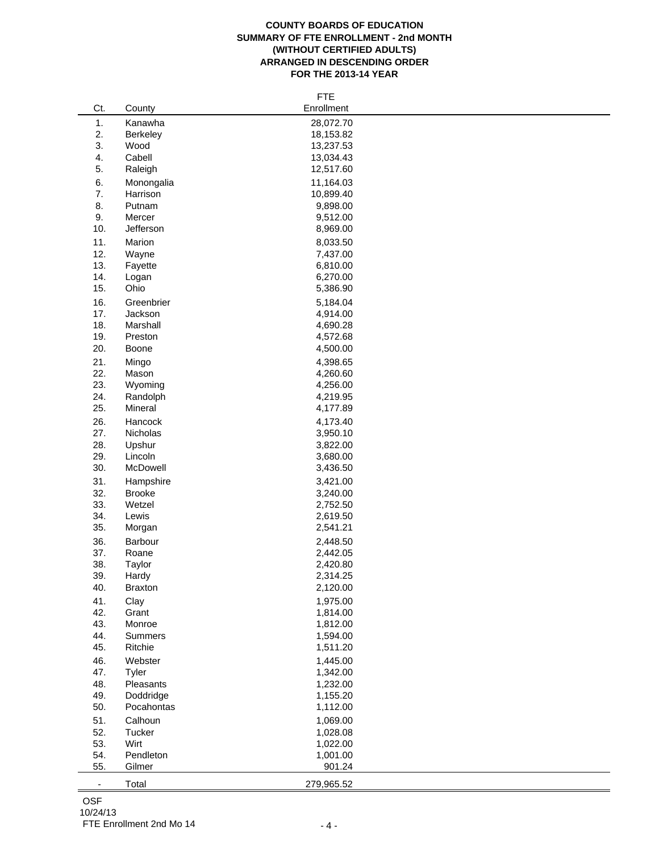## **COUNTY BOARDS OF EDUCATION SUMMARY OF FTE ENROLLMENT - 2nd MONTH (WITHOUT CERTIFIED ADULTS) ARRANGED IN DESCENDING ORDER FOR THE 2013-14 YEAR**

|                          |                | <b>FTE</b> |
|--------------------------|----------------|------------|
| Ct.                      | County         | Enrollment |
| 1.                       | Kanawha        | 28,072.70  |
| 2.                       | Berkeley       | 18,153.82  |
| 3.                       | Wood           | 13,237.53  |
| 4.                       | Cabell         | 13,034.43  |
| 5.                       | Raleigh        | 12,517.60  |
|                          |                |            |
| 6.                       | Monongalia     | 11,164.03  |
| 7.                       | Harrison       | 10,899.40  |
| 8.                       | Putnam         | 9,898.00   |
| 9.                       | Mercer         | 9,512.00   |
| 10.                      | Jefferson      | 8,969.00   |
| 11.                      | Marion         | 8,033.50   |
| 12.                      | Wayne          | 7,437.00   |
| 13.                      | Fayette        | 6,810.00   |
| 14.                      | Logan          | 6,270.00   |
| 15.                      | Ohio           | 5,386.90   |
| 16.                      | Greenbrier     | 5,184.04   |
| 17.                      | Jackson        | 4,914.00   |
| 18.                      | Marshall       | 4,690.28   |
| 19.                      | Preston        | 4,572.68   |
|                          |                |            |
| 20.                      | Boone          | 4,500.00   |
| 21.                      | Mingo          | 4,398.65   |
| 22.                      | Mason          | 4,260.60   |
| 23.                      | Wyoming        | 4,256.00   |
| 24.                      | Randolph       | 4,219.95   |
| 25.                      | Mineral        | 4,177.89   |
| 26.                      | Hancock        | 4,173.40   |
| 27.                      | Nicholas       | 3,950.10   |
| 28.                      | Upshur         | 3,822.00   |
| 29.                      | Lincoln        | 3,680.00   |
| 30.                      | McDowell       | 3,436.50   |
| 31.                      | Hampshire      | 3,421.00   |
| 32.                      | <b>Brooke</b>  | 3,240.00   |
| 33.                      | Wetzel         | 2,752.50   |
| 34.                      | Lewis          | 2,619.50   |
| 35.                      | Morgan         | 2,541.21   |
|                          |                |            |
| 36.                      | Barbour        | 2,448.50   |
| 37.                      | Roane          | 2,442.05   |
| 38.                      | Taylor         | 2,420.80   |
| 39.                      | Hardy          | 2,314.25   |
| 40.                      | <b>Braxton</b> | 2,120.00   |
| 41.                      | Clay           | 1,975.00   |
| 42.                      | Grant          | 1,814.00   |
| 43.                      | Monroe         | 1,812.00   |
| 44.                      | <b>Summers</b> | 1,594.00   |
| 45.                      | Ritchie        | 1,511.20   |
| 46.                      | Webster        | 1,445.00   |
| 47.                      | Tyler          | 1,342.00   |
| 48.                      | Pleasants      | 1,232.00   |
| 49.                      | Doddridge      | 1,155.20   |
| 50.                      | Pocahontas     | 1,112.00   |
|                          |                |            |
| 51.                      | Calhoun        | 1,069.00   |
| 52.                      | Tucker         | 1,028.08   |
| 53.                      | Wirt           | 1,022.00   |
| 54.                      | Pendleton      | 1,001.00   |
| 55.                      | Gilmer         | 901.24     |
| $\overline{\phantom{a}}$ | Total          | 279,965.52 |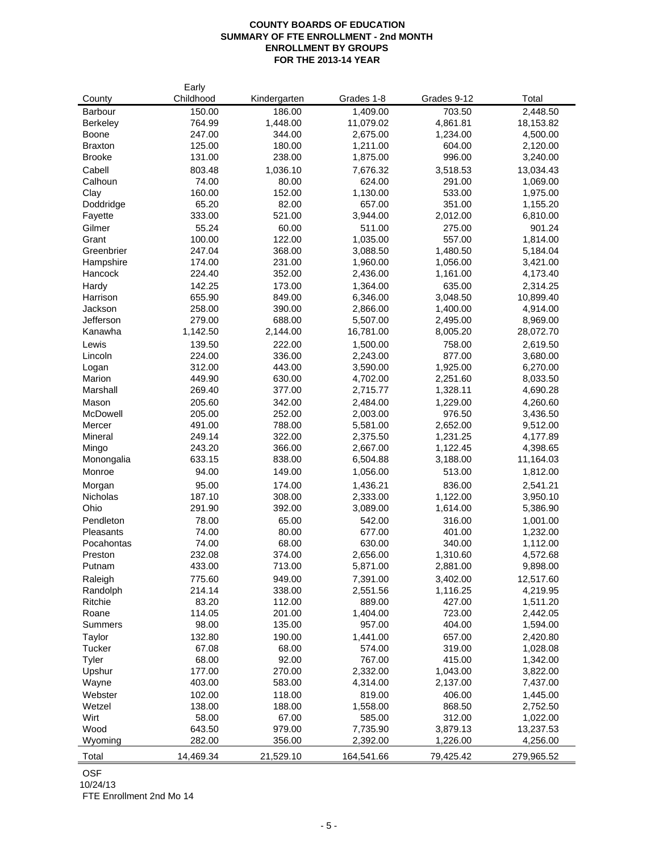## **COUNTY BOARDS OF EDUCATION SUMMARY OF FTE ENROLLMENT - 2nd MONTH ENROLLMENT BY GROUPS FOR THE 2013-14 YEAR**

| County              | Early<br>Childhood | Kindergarten     | Grades 1-8           | Grades 9-12          | Total                 |
|---------------------|--------------------|------------------|----------------------|----------------------|-----------------------|
| Barbour             | 150.00             | 186.00           | 1,409.00             | 703.50               | 2,448.50              |
| <b>Berkeley</b>     | 764.99             | 1,448.00         | 11,079.02            | 4,861.81             | 18,153.82             |
| <b>Boone</b>        | 247.00             | 344.00           | 2,675.00             | 1,234.00             | 4,500.00              |
| <b>Braxton</b>      | 125.00             | 180.00           | 1,211.00             | 604.00               | 2,120.00              |
| <b>Brooke</b>       | 131.00             | 238.00           | 1,875.00             | 996.00               | 3,240.00              |
| Cabell              | 803.48             | 1,036.10         | 7,676.32             | 3,518.53             | 13,034.43             |
| Calhoun             | 74.00              | 80.00            | 624.00               | 291.00               | 1,069.00              |
| Clay                | 160.00             | 152.00           | 1,130.00             | 533.00               | 1,975.00              |
| Doddridge           | 65.20              | 82.00            | 657.00               | 351.00               | 1,155.20              |
| Fayette             | 333.00             | 521.00           | 3,944.00             | 2,012.00             | 6,810.00              |
| Gilmer              | 55.24              | 60.00            | 511.00               | 275.00               | 901.24                |
| Grant               | 100.00             | 122.00           | 1,035.00             | 557.00               | 1,814.00              |
| Greenbrier          | 247.04             | 368.00           | 3,088.50             | 1,480.50             | 5,184.04              |
| Hampshire           | 174.00             | 231.00           | 1,960.00             | 1,056.00             | 3,421.00              |
| Hancock             | 224.40             | 352.00           | 2,436.00             | 1,161.00             | 4,173.40              |
| Hardy               | 142.25             | 173.00           | 1,364.00             | 635.00               | 2,314.25              |
| Harrison            | 655.90             | 849.00           | 6,346.00             | 3,048.50             | 10,899.40             |
| Jackson             | 258.00             | 390.00           | 2,866.00             | 1,400.00             | 4,914.00              |
| Jefferson           | 279.00             | 688.00           | 5,507.00             | 2,495.00             | 8,969.00              |
| Kanawha             | 1,142.50           | 2,144.00         | 16,781.00            | 8,005.20             | 28,072.70             |
| Lewis               | 139.50             | 222.00           | 1,500.00             | 758.00               | 2,619.50              |
| Lincoln             | 224.00             | 336.00           | 2,243.00             | 877.00               | 3,680.00              |
| Logan               | 312.00             | 443.00           | 3,590.00             | 1,925.00             | 6,270.00              |
| Marion              | 449.90             | 630.00           | 4,702.00             | 2,251.60             | 8,033.50              |
| Marshall            | 269.40             | 377.00           | 2,715.77             | 1,328.11             | 4,690.28              |
| Mason               | 205.60             | 342.00           | 2,484.00             | 1,229.00             | 4,260.60              |
| McDowell            | 205.00             | 252.00           | 2,003.00             | 976.50               | 3,436.50              |
| Mercer              | 491.00             | 788.00           | 5,581.00             | 2,652.00             | 9,512.00              |
| Mineral             | 249.14             | 322.00           | 2,375.50             | 1,231.25             | 4,177.89              |
| Mingo               | 243.20             | 366.00           | 2,667.00             | 1,122.45             | 4,398.65              |
| Monongalia          | 633.15             | 838.00           | 6,504.88             | 3,188.00             | 11,164.03             |
| Monroe              | 94.00              | 149.00           | 1,056.00             | 513.00               | 1,812.00              |
| Morgan              | 95.00              | 174.00           | 1,436.21             | 836.00               | 2,541.21              |
| Nicholas            | 187.10             | 308.00           | 2,333.00             | 1,122.00             | 3,950.10              |
| Ohio                | 291.90             | 392.00           | 3,089.00             | 1,614.00             | 5,386.90              |
| Pendleton           | 78.00              | 65.00            | 542.00               | 316.00               | 1,001.00              |
| Pleasants           | 74.00              | 80.00            | 677.00               | 401.00               | 1,232.00              |
| Pocahontas          | 74.00              | 68.00<br>374.00  | 630.00               | 340.00               | 1,112.00              |
| Preston<br>Putnam   | 232.08<br>433.00   | 713.00           | 2,656.00<br>5,871.00 | 1,310.60<br>2,881.00 | 4,572.68<br>9,898.00  |
|                     |                    |                  |                      |                      |                       |
| Raleigh<br>Randolph | 775.60<br>214.14   | 949.00<br>338.00 | 7,391.00<br>2,551.56 | 3,402.00<br>1,116.25 | 12,517.60<br>4,219.95 |
| Ritchie             | 83.20              | 112.00           | 889.00               | 427.00               | 1,511.20              |
| Roane               | 114.05             | 201.00           | 1,404.00             | 723.00               | 2,442.05              |
| <b>Summers</b>      | 98.00              | 135.00           | 957.00               | 404.00               | 1,594.00              |
| Taylor              | 132.80             | 190.00           | 1,441.00             | 657.00               | 2,420.80              |
| Tucker              | 67.08              | 68.00            | 574.00               | 319.00               | 1,028.08              |
| Tyler               | 68.00              | 92.00            | 767.00               | 415.00               | 1,342.00              |
| Upshur              | 177.00             | 270.00           | 2,332.00             | 1,043.00             | 3,822.00              |
| Wayne               | 403.00             | 583.00           | 4,314.00             | 2,137.00             | 7,437.00              |
| Webster             | 102.00             | 118.00           | 819.00               | 406.00               | 1,445.00              |
| Wetzel              | 138.00             | 188.00           | 1,558.00             | 868.50               | 2,752.50              |
| Wirt                | 58.00              | 67.00            | 585.00               | 312.00               | 1,022.00              |
| Wood                | 643.50             | 979.00           | 7,735.90             | 3,879.13             | 13,237.53             |
| Wyoming             | 282.00             | 356.00           | 2,392.00             | 1,226.00             | 4,256.00              |
| <b>Total</b>        | 14,469.34          | 21,529.10        | 164,541.66           | 79,425.42            | 279,965.52            |

OSF

10/24/13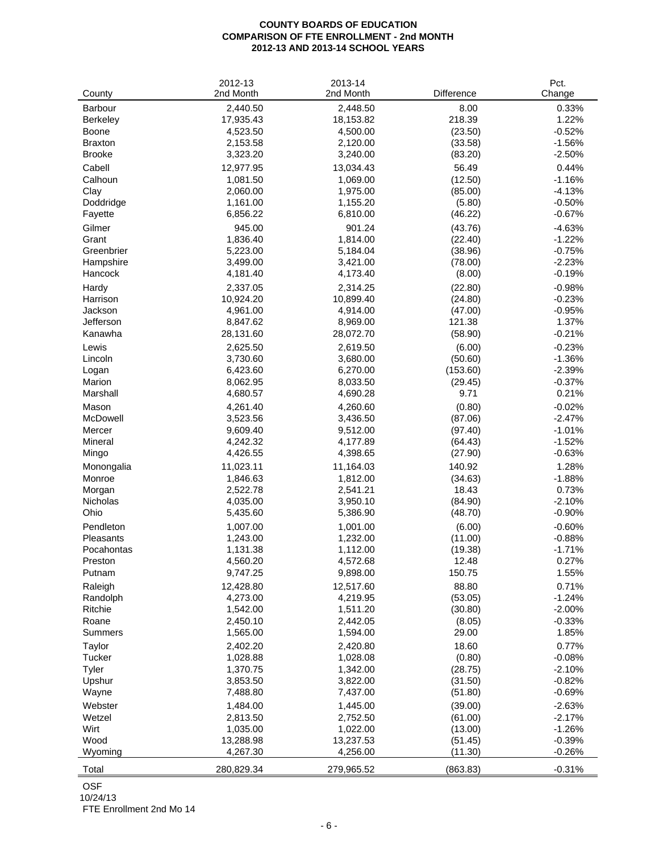#### **COUNTY BOARDS OF EDUCATION COMPARISON OF FTE ENROLLMENT - 2nd MONTH 2012-13 AND 2013-14 SCHOOL YEARS**

| 2nd Month<br>Change<br>County<br>Barbour<br>2,440.50<br>2,448.50<br>8.00<br>0.33%<br>17,935.43<br>18,153.82<br>218.39<br>1.22%<br>Berkeley<br>4,523.50<br>4,500.00<br>$-0.52%$<br>Boone<br>(23.50)<br><b>Braxton</b><br>2,153.58<br>2,120.00<br>(33.58)<br>$-1.56%$<br><b>Brooke</b><br>3,323.20<br>3,240.00<br>(83.20)<br>$-2.50%$<br>Cabell<br>12,977.95<br>13,034.43<br>56.49<br>0.44%<br>Calhoun<br>1,069.00<br>$-1.16%$<br>1,081.50<br>(12.50)<br>Clay<br>2,060.00<br>1,975.00<br>(85.00)<br>$-4.13%$<br>$-0.50%$<br>Doddridge<br>1,161.00<br>1,155.20<br>(5.80)<br>Fayette<br>6,856.22<br>6,810.00<br>(46.22)<br>$-0.67%$<br>Gilmer<br>945.00<br>901.24<br>(43.76)<br>$-4.63%$<br>Grant<br>1,836.40<br>1,814.00<br>(22.40)<br>$-1.22%$<br>Greenbrier<br>$-0.75%$<br>5,223.00<br>5,184.04<br>(38.96)<br>3,499.00<br>3,421.00<br>$-2.23%$<br>Hampshire<br>(78.00)<br>(8.00)<br>Hancock<br>4,181.40<br>4,173.40<br>$-0.19%$<br>2,314.25<br>(22.80)<br>2,337.05<br>$-0.98%$<br>Hardy<br>10,924.20<br>10,899.40<br>(24.80)<br>$-0.23%$<br>Harrison<br>Jackson<br>4,961.00<br>4,914.00<br>(47.00)<br>$-0.95%$<br>Jefferson<br>8,847.62<br>8,969.00<br>121.38<br>1.37%<br>$-0.21%$<br>Kanawha<br>28,131.60<br>28,072.70<br>(58.90)<br>2,625.50<br>2,619.50<br>(6.00)<br>$-0.23%$<br>Lewis<br>3,730.60<br>3,680.00<br>(50.60)<br>$-1.36%$<br>Lincoln<br>(153.60)<br>$-2.39%$<br>Logan<br>6,423.60<br>6,270.00<br>$-0.37%$<br>Marion<br>8,062.95<br>8,033.50<br>(29.45)<br>Marshall<br>4,680.57<br>4,690.28<br>9.71<br>0.21%<br>Mason<br>4,261.40<br>4,260.60<br>(0.80)<br>$-0.02%$<br>McDowell<br>$-2.47%$<br>3,523.56<br>3,436.50<br>(87.06)<br>9,609.40<br>9,512.00<br>(97.40)<br>$-1.01%$<br>Mercer<br>$-1.52%$<br>Mineral<br>4,242.32<br>4,177.89<br>(64.43)<br>$-0.63%$<br>4,426.55<br>4,398.65<br>Mingo<br>(27.90)<br>Monongalia<br>11,023.11<br>11,164.03<br>140.92<br>1.28%<br>Monroe<br>1,846.63<br>1,812.00<br>(34.63)<br>$-1.88%$<br>18.43<br>Morgan<br>2,522.78<br>2,541.21<br>0.73%<br>Nicholas<br>4,035.00<br>3,950.10<br>(84.90)<br>$-2.10%$<br>Ohio<br>5,435.60<br>5,386.90<br>(48.70)<br>$-0.90%$<br>Pendleton<br>1,007.00<br>1,001.00<br>(6.00)<br>$-0.60%$<br>Pleasants<br>1,243.00<br>1,232.00<br>(11.00)<br>$-0.88%$<br>Pocahontas<br>1,131.38<br>1,112.00<br>(19.38)<br>$-1.71%$<br>Preston<br>4,560.20<br>4,572.68<br>12.48<br>0.27%<br>9,747.25<br>9,898.00<br>150.75<br>1.55%<br>Putnam<br>12,428.80<br>12,517.60<br>88.80<br>0.71%<br>Raleigh<br>4,273.00<br>4,219.95<br>(53.05)<br>$-1.24%$<br>Randolph<br>Ritchie<br>1,542.00<br>1,511.20<br>(30.80)<br>$-2.00%$<br>Roane<br>2,450.10<br>2,442.05<br>$-0.33%$<br>(8.05)<br>Summers<br>29.00<br>1.85%<br>1,565.00<br>1,594.00<br>18.60<br>0.77%<br>Taylor<br>2,402.20<br>2,420.80<br>1,028.08<br>$-0.08%$<br>Tucker<br>1,028.88<br>(0.80)<br>Tyler<br>1,370.75<br>1,342.00<br>(28.75)<br>$-2.10%$<br>Upshur<br>3,853.50<br>3,822.00<br>(31.50)<br>$-0.82%$<br>7,488.80<br>7,437.00<br>$-0.69%$<br>Wayne<br>(51.80)<br>Webster<br>1,484.00<br>1,445.00<br>(39.00)<br>$-2.63%$<br>Wetzel<br>2,813.50<br>2,752.50<br>(61.00)<br>$-2.17%$<br>Wirt<br>1,035.00<br>1,022.00<br>(13.00)<br>$-1.26%$<br>Wood<br>13,237.53<br>13,288.98<br>(51.45)<br>$-0.39%$<br>Wyoming<br>4,267.30<br>4,256.00<br>(11.30)<br>$-0.26%$<br>280,829.34<br>279,965.52<br>(863.83)<br>$-0.31%$<br>Total | 2012-13   | 2013-14 |            | Pct. |
|-------------------------------------------------------------------------------------------------------------------------------------------------------------------------------------------------------------------------------------------------------------------------------------------------------------------------------------------------------------------------------------------------------------------------------------------------------------------------------------------------------------------------------------------------------------------------------------------------------------------------------------------------------------------------------------------------------------------------------------------------------------------------------------------------------------------------------------------------------------------------------------------------------------------------------------------------------------------------------------------------------------------------------------------------------------------------------------------------------------------------------------------------------------------------------------------------------------------------------------------------------------------------------------------------------------------------------------------------------------------------------------------------------------------------------------------------------------------------------------------------------------------------------------------------------------------------------------------------------------------------------------------------------------------------------------------------------------------------------------------------------------------------------------------------------------------------------------------------------------------------------------------------------------------------------------------------------------------------------------------------------------------------------------------------------------------------------------------------------------------------------------------------------------------------------------------------------------------------------------------------------------------------------------------------------------------------------------------------------------------------------------------------------------------------------------------------------------------------------------------------------------------------------------------------------------------------------------------------------------------------------------------------------------------------------------------------------------------------------------------------------------------------------------------------------------------------------------------------------------------------------------------------------------------------------------------------------------------------------------------------------------------------------------------------------------------------------------------------------------------------------------------------------------------------------------------------------------------------------------------------------------------------------------------------------------------------------------------------------|-----------|---------|------------|------|
|                                                                                                                                                                                                                                                                                                                                                                                                                                                                                                                                                                                                                                                                                                                                                                                                                                                                                                                                                                                                                                                                                                                                                                                                                                                                                                                                                                                                                                                                                                                                                                                                                                                                                                                                                                                                                                                                                                                                                                                                                                                                                                                                                                                                                                                                                                                                                                                                                                                                                                                                                                                                                                                                                                                                                                                                                                                                                                                                                                                                                                                                                                                                                                                                                                                                                                                                                       | 2nd Month |         | Difference |      |
|                                                                                                                                                                                                                                                                                                                                                                                                                                                                                                                                                                                                                                                                                                                                                                                                                                                                                                                                                                                                                                                                                                                                                                                                                                                                                                                                                                                                                                                                                                                                                                                                                                                                                                                                                                                                                                                                                                                                                                                                                                                                                                                                                                                                                                                                                                                                                                                                                                                                                                                                                                                                                                                                                                                                                                                                                                                                                                                                                                                                                                                                                                                                                                                                                                                                                                                                                       |           |         |            |      |
|                                                                                                                                                                                                                                                                                                                                                                                                                                                                                                                                                                                                                                                                                                                                                                                                                                                                                                                                                                                                                                                                                                                                                                                                                                                                                                                                                                                                                                                                                                                                                                                                                                                                                                                                                                                                                                                                                                                                                                                                                                                                                                                                                                                                                                                                                                                                                                                                                                                                                                                                                                                                                                                                                                                                                                                                                                                                                                                                                                                                                                                                                                                                                                                                                                                                                                                                                       |           |         |            |      |
|                                                                                                                                                                                                                                                                                                                                                                                                                                                                                                                                                                                                                                                                                                                                                                                                                                                                                                                                                                                                                                                                                                                                                                                                                                                                                                                                                                                                                                                                                                                                                                                                                                                                                                                                                                                                                                                                                                                                                                                                                                                                                                                                                                                                                                                                                                                                                                                                                                                                                                                                                                                                                                                                                                                                                                                                                                                                                                                                                                                                                                                                                                                                                                                                                                                                                                                                                       |           |         |            |      |
|                                                                                                                                                                                                                                                                                                                                                                                                                                                                                                                                                                                                                                                                                                                                                                                                                                                                                                                                                                                                                                                                                                                                                                                                                                                                                                                                                                                                                                                                                                                                                                                                                                                                                                                                                                                                                                                                                                                                                                                                                                                                                                                                                                                                                                                                                                                                                                                                                                                                                                                                                                                                                                                                                                                                                                                                                                                                                                                                                                                                                                                                                                                                                                                                                                                                                                                                                       |           |         |            |      |
|                                                                                                                                                                                                                                                                                                                                                                                                                                                                                                                                                                                                                                                                                                                                                                                                                                                                                                                                                                                                                                                                                                                                                                                                                                                                                                                                                                                                                                                                                                                                                                                                                                                                                                                                                                                                                                                                                                                                                                                                                                                                                                                                                                                                                                                                                                                                                                                                                                                                                                                                                                                                                                                                                                                                                                                                                                                                                                                                                                                                                                                                                                                                                                                                                                                                                                                                                       |           |         |            |      |
|                                                                                                                                                                                                                                                                                                                                                                                                                                                                                                                                                                                                                                                                                                                                                                                                                                                                                                                                                                                                                                                                                                                                                                                                                                                                                                                                                                                                                                                                                                                                                                                                                                                                                                                                                                                                                                                                                                                                                                                                                                                                                                                                                                                                                                                                                                                                                                                                                                                                                                                                                                                                                                                                                                                                                                                                                                                                                                                                                                                                                                                                                                                                                                                                                                                                                                                                                       |           |         |            |      |
|                                                                                                                                                                                                                                                                                                                                                                                                                                                                                                                                                                                                                                                                                                                                                                                                                                                                                                                                                                                                                                                                                                                                                                                                                                                                                                                                                                                                                                                                                                                                                                                                                                                                                                                                                                                                                                                                                                                                                                                                                                                                                                                                                                                                                                                                                                                                                                                                                                                                                                                                                                                                                                                                                                                                                                                                                                                                                                                                                                                                                                                                                                                                                                                                                                                                                                                                                       |           |         |            |      |
|                                                                                                                                                                                                                                                                                                                                                                                                                                                                                                                                                                                                                                                                                                                                                                                                                                                                                                                                                                                                                                                                                                                                                                                                                                                                                                                                                                                                                                                                                                                                                                                                                                                                                                                                                                                                                                                                                                                                                                                                                                                                                                                                                                                                                                                                                                                                                                                                                                                                                                                                                                                                                                                                                                                                                                                                                                                                                                                                                                                                                                                                                                                                                                                                                                                                                                                                                       |           |         |            |      |
|                                                                                                                                                                                                                                                                                                                                                                                                                                                                                                                                                                                                                                                                                                                                                                                                                                                                                                                                                                                                                                                                                                                                                                                                                                                                                                                                                                                                                                                                                                                                                                                                                                                                                                                                                                                                                                                                                                                                                                                                                                                                                                                                                                                                                                                                                                                                                                                                                                                                                                                                                                                                                                                                                                                                                                                                                                                                                                                                                                                                                                                                                                                                                                                                                                                                                                                                                       |           |         |            |      |
|                                                                                                                                                                                                                                                                                                                                                                                                                                                                                                                                                                                                                                                                                                                                                                                                                                                                                                                                                                                                                                                                                                                                                                                                                                                                                                                                                                                                                                                                                                                                                                                                                                                                                                                                                                                                                                                                                                                                                                                                                                                                                                                                                                                                                                                                                                                                                                                                                                                                                                                                                                                                                                                                                                                                                                                                                                                                                                                                                                                                                                                                                                                                                                                                                                                                                                                                                       |           |         |            |      |
|                                                                                                                                                                                                                                                                                                                                                                                                                                                                                                                                                                                                                                                                                                                                                                                                                                                                                                                                                                                                                                                                                                                                                                                                                                                                                                                                                                                                                                                                                                                                                                                                                                                                                                                                                                                                                                                                                                                                                                                                                                                                                                                                                                                                                                                                                                                                                                                                                                                                                                                                                                                                                                                                                                                                                                                                                                                                                                                                                                                                                                                                                                                                                                                                                                                                                                                                                       |           |         |            |      |
|                                                                                                                                                                                                                                                                                                                                                                                                                                                                                                                                                                                                                                                                                                                                                                                                                                                                                                                                                                                                                                                                                                                                                                                                                                                                                                                                                                                                                                                                                                                                                                                                                                                                                                                                                                                                                                                                                                                                                                                                                                                                                                                                                                                                                                                                                                                                                                                                                                                                                                                                                                                                                                                                                                                                                                                                                                                                                                                                                                                                                                                                                                                                                                                                                                                                                                                                                       |           |         |            |      |
|                                                                                                                                                                                                                                                                                                                                                                                                                                                                                                                                                                                                                                                                                                                                                                                                                                                                                                                                                                                                                                                                                                                                                                                                                                                                                                                                                                                                                                                                                                                                                                                                                                                                                                                                                                                                                                                                                                                                                                                                                                                                                                                                                                                                                                                                                                                                                                                                                                                                                                                                                                                                                                                                                                                                                                                                                                                                                                                                                                                                                                                                                                                                                                                                                                                                                                                                                       |           |         |            |      |
|                                                                                                                                                                                                                                                                                                                                                                                                                                                                                                                                                                                                                                                                                                                                                                                                                                                                                                                                                                                                                                                                                                                                                                                                                                                                                                                                                                                                                                                                                                                                                                                                                                                                                                                                                                                                                                                                                                                                                                                                                                                                                                                                                                                                                                                                                                                                                                                                                                                                                                                                                                                                                                                                                                                                                                                                                                                                                                                                                                                                                                                                                                                                                                                                                                                                                                                                                       |           |         |            |      |
|                                                                                                                                                                                                                                                                                                                                                                                                                                                                                                                                                                                                                                                                                                                                                                                                                                                                                                                                                                                                                                                                                                                                                                                                                                                                                                                                                                                                                                                                                                                                                                                                                                                                                                                                                                                                                                                                                                                                                                                                                                                                                                                                                                                                                                                                                                                                                                                                                                                                                                                                                                                                                                                                                                                                                                                                                                                                                                                                                                                                                                                                                                                                                                                                                                                                                                                                                       |           |         |            |      |
|                                                                                                                                                                                                                                                                                                                                                                                                                                                                                                                                                                                                                                                                                                                                                                                                                                                                                                                                                                                                                                                                                                                                                                                                                                                                                                                                                                                                                                                                                                                                                                                                                                                                                                                                                                                                                                                                                                                                                                                                                                                                                                                                                                                                                                                                                                                                                                                                                                                                                                                                                                                                                                                                                                                                                                                                                                                                                                                                                                                                                                                                                                                                                                                                                                                                                                                                                       |           |         |            |      |
|                                                                                                                                                                                                                                                                                                                                                                                                                                                                                                                                                                                                                                                                                                                                                                                                                                                                                                                                                                                                                                                                                                                                                                                                                                                                                                                                                                                                                                                                                                                                                                                                                                                                                                                                                                                                                                                                                                                                                                                                                                                                                                                                                                                                                                                                                                                                                                                                                                                                                                                                                                                                                                                                                                                                                                                                                                                                                                                                                                                                                                                                                                                                                                                                                                                                                                                                                       |           |         |            |      |
|                                                                                                                                                                                                                                                                                                                                                                                                                                                                                                                                                                                                                                                                                                                                                                                                                                                                                                                                                                                                                                                                                                                                                                                                                                                                                                                                                                                                                                                                                                                                                                                                                                                                                                                                                                                                                                                                                                                                                                                                                                                                                                                                                                                                                                                                                                                                                                                                                                                                                                                                                                                                                                                                                                                                                                                                                                                                                                                                                                                                                                                                                                                                                                                                                                                                                                                                                       |           |         |            |      |
|                                                                                                                                                                                                                                                                                                                                                                                                                                                                                                                                                                                                                                                                                                                                                                                                                                                                                                                                                                                                                                                                                                                                                                                                                                                                                                                                                                                                                                                                                                                                                                                                                                                                                                                                                                                                                                                                                                                                                                                                                                                                                                                                                                                                                                                                                                                                                                                                                                                                                                                                                                                                                                                                                                                                                                                                                                                                                                                                                                                                                                                                                                                                                                                                                                                                                                                                                       |           |         |            |      |
|                                                                                                                                                                                                                                                                                                                                                                                                                                                                                                                                                                                                                                                                                                                                                                                                                                                                                                                                                                                                                                                                                                                                                                                                                                                                                                                                                                                                                                                                                                                                                                                                                                                                                                                                                                                                                                                                                                                                                                                                                                                                                                                                                                                                                                                                                                                                                                                                                                                                                                                                                                                                                                                                                                                                                                                                                                                                                                                                                                                                                                                                                                                                                                                                                                                                                                                                                       |           |         |            |      |
|                                                                                                                                                                                                                                                                                                                                                                                                                                                                                                                                                                                                                                                                                                                                                                                                                                                                                                                                                                                                                                                                                                                                                                                                                                                                                                                                                                                                                                                                                                                                                                                                                                                                                                                                                                                                                                                                                                                                                                                                                                                                                                                                                                                                                                                                                                                                                                                                                                                                                                                                                                                                                                                                                                                                                                                                                                                                                                                                                                                                                                                                                                                                                                                                                                                                                                                                                       |           |         |            |      |
|                                                                                                                                                                                                                                                                                                                                                                                                                                                                                                                                                                                                                                                                                                                                                                                                                                                                                                                                                                                                                                                                                                                                                                                                                                                                                                                                                                                                                                                                                                                                                                                                                                                                                                                                                                                                                                                                                                                                                                                                                                                                                                                                                                                                                                                                                                                                                                                                                                                                                                                                                                                                                                                                                                                                                                                                                                                                                                                                                                                                                                                                                                                                                                                                                                                                                                                                                       |           |         |            |      |
|                                                                                                                                                                                                                                                                                                                                                                                                                                                                                                                                                                                                                                                                                                                                                                                                                                                                                                                                                                                                                                                                                                                                                                                                                                                                                                                                                                                                                                                                                                                                                                                                                                                                                                                                                                                                                                                                                                                                                                                                                                                                                                                                                                                                                                                                                                                                                                                                                                                                                                                                                                                                                                                                                                                                                                                                                                                                                                                                                                                                                                                                                                                                                                                                                                                                                                                                                       |           |         |            |      |
|                                                                                                                                                                                                                                                                                                                                                                                                                                                                                                                                                                                                                                                                                                                                                                                                                                                                                                                                                                                                                                                                                                                                                                                                                                                                                                                                                                                                                                                                                                                                                                                                                                                                                                                                                                                                                                                                                                                                                                                                                                                                                                                                                                                                                                                                                                                                                                                                                                                                                                                                                                                                                                                                                                                                                                                                                                                                                                                                                                                                                                                                                                                                                                                                                                                                                                                                                       |           |         |            |      |
|                                                                                                                                                                                                                                                                                                                                                                                                                                                                                                                                                                                                                                                                                                                                                                                                                                                                                                                                                                                                                                                                                                                                                                                                                                                                                                                                                                                                                                                                                                                                                                                                                                                                                                                                                                                                                                                                                                                                                                                                                                                                                                                                                                                                                                                                                                                                                                                                                                                                                                                                                                                                                                                                                                                                                                                                                                                                                                                                                                                                                                                                                                                                                                                                                                                                                                                                                       |           |         |            |      |
|                                                                                                                                                                                                                                                                                                                                                                                                                                                                                                                                                                                                                                                                                                                                                                                                                                                                                                                                                                                                                                                                                                                                                                                                                                                                                                                                                                                                                                                                                                                                                                                                                                                                                                                                                                                                                                                                                                                                                                                                                                                                                                                                                                                                                                                                                                                                                                                                                                                                                                                                                                                                                                                                                                                                                                                                                                                                                                                                                                                                                                                                                                                                                                                                                                                                                                                                                       |           |         |            |      |
|                                                                                                                                                                                                                                                                                                                                                                                                                                                                                                                                                                                                                                                                                                                                                                                                                                                                                                                                                                                                                                                                                                                                                                                                                                                                                                                                                                                                                                                                                                                                                                                                                                                                                                                                                                                                                                                                                                                                                                                                                                                                                                                                                                                                                                                                                                                                                                                                                                                                                                                                                                                                                                                                                                                                                                                                                                                                                                                                                                                                                                                                                                                                                                                                                                                                                                                                                       |           |         |            |      |
|                                                                                                                                                                                                                                                                                                                                                                                                                                                                                                                                                                                                                                                                                                                                                                                                                                                                                                                                                                                                                                                                                                                                                                                                                                                                                                                                                                                                                                                                                                                                                                                                                                                                                                                                                                                                                                                                                                                                                                                                                                                                                                                                                                                                                                                                                                                                                                                                                                                                                                                                                                                                                                                                                                                                                                                                                                                                                                                                                                                                                                                                                                                                                                                                                                                                                                                                                       |           |         |            |      |
|                                                                                                                                                                                                                                                                                                                                                                                                                                                                                                                                                                                                                                                                                                                                                                                                                                                                                                                                                                                                                                                                                                                                                                                                                                                                                                                                                                                                                                                                                                                                                                                                                                                                                                                                                                                                                                                                                                                                                                                                                                                                                                                                                                                                                                                                                                                                                                                                                                                                                                                                                                                                                                                                                                                                                                                                                                                                                                                                                                                                                                                                                                                                                                                                                                                                                                                                                       |           |         |            |      |
|                                                                                                                                                                                                                                                                                                                                                                                                                                                                                                                                                                                                                                                                                                                                                                                                                                                                                                                                                                                                                                                                                                                                                                                                                                                                                                                                                                                                                                                                                                                                                                                                                                                                                                                                                                                                                                                                                                                                                                                                                                                                                                                                                                                                                                                                                                                                                                                                                                                                                                                                                                                                                                                                                                                                                                                                                                                                                                                                                                                                                                                                                                                                                                                                                                                                                                                                                       |           |         |            |      |
|                                                                                                                                                                                                                                                                                                                                                                                                                                                                                                                                                                                                                                                                                                                                                                                                                                                                                                                                                                                                                                                                                                                                                                                                                                                                                                                                                                                                                                                                                                                                                                                                                                                                                                                                                                                                                                                                                                                                                                                                                                                                                                                                                                                                                                                                                                                                                                                                                                                                                                                                                                                                                                                                                                                                                                                                                                                                                                                                                                                                                                                                                                                                                                                                                                                                                                                                                       |           |         |            |      |
|                                                                                                                                                                                                                                                                                                                                                                                                                                                                                                                                                                                                                                                                                                                                                                                                                                                                                                                                                                                                                                                                                                                                                                                                                                                                                                                                                                                                                                                                                                                                                                                                                                                                                                                                                                                                                                                                                                                                                                                                                                                                                                                                                                                                                                                                                                                                                                                                                                                                                                                                                                                                                                                                                                                                                                                                                                                                                                                                                                                                                                                                                                                                                                                                                                                                                                                                                       |           |         |            |      |
|                                                                                                                                                                                                                                                                                                                                                                                                                                                                                                                                                                                                                                                                                                                                                                                                                                                                                                                                                                                                                                                                                                                                                                                                                                                                                                                                                                                                                                                                                                                                                                                                                                                                                                                                                                                                                                                                                                                                                                                                                                                                                                                                                                                                                                                                                                                                                                                                                                                                                                                                                                                                                                                                                                                                                                                                                                                                                                                                                                                                                                                                                                                                                                                                                                                                                                                                                       |           |         |            |      |
|                                                                                                                                                                                                                                                                                                                                                                                                                                                                                                                                                                                                                                                                                                                                                                                                                                                                                                                                                                                                                                                                                                                                                                                                                                                                                                                                                                                                                                                                                                                                                                                                                                                                                                                                                                                                                                                                                                                                                                                                                                                                                                                                                                                                                                                                                                                                                                                                                                                                                                                                                                                                                                                                                                                                                                                                                                                                                                                                                                                                                                                                                                                                                                                                                                                                                                                                                       |           |         |            |      |
|                                                                                                                                                                                                                                                                                                                                                                                                                                                                                                                                                                                                                                                                                                                                                                                                                                                                                                                                                                                                                                                                                                                                                                                                                                                                                                                                                                                                                                                                                                                                                                                                                                                                                                                                                                                                                                                                                                                                                                                                                                                                                                                                                                                                                                                                                                                                                                                                                                                                                                                                                                                                                                                                                                                                                                                                                                                                                                                                                                                                                                                                                                                                                                                                                                                                                                                                                       |           |         |            |      |
|                                                                                                                                                                                                                                                                                                                                                                                                                                                                                                                                                                                                                                                                                                                                                                                                                                                                                                                                                                                                                                                                                                                                                                                                                                                                                                                                                                                                                                                                                                                                                                                                                                                                                                                                                                                                                                                                                                                                                                                                                                                                                                                                                                                                                                                                                                                                                                                                                                                                                                                                                                                                                                                                                                                                                                                                                                                                                                                                                                                                                                                                                                                                                                                                                                                                                                                                                       |           |         |            |      |
|                                                                                                                                                                                                                                                                                                                                                                                                                                                                                                                                                                                                                                                                                                                                                                                                                                                                                                                                                                                                                                                                                                                                                                                                                                                                                                                                                                                                                                                                                                                                                                                                                                                                                                                                                                                                                                                                                                                                                                                                                                                                                                                                                                                                                                                                                                                                                                                                                                                                                                                                                                                                                                                                                                                                                                                                                                                                                                                                                                                                                                                                                                                                                                                                                                                                                                                                                       |           |         |            |      |
|                                                                                                                                                                                                                                                                                                                                                                                                                                                                                                                                                                                                                                                                                                                                                                                                                                                                                                                                                                                                                                                                                                                                                                                                                                                                                                                                                                                                                                                                                                                                                                                                                                                                                                                                                                                                                                                                                                                                                                                                                                                                                                                                                                                                                                                                                                                                                                                                                                                                                                                                                                                                                                                                                                                                                                                                                                                                                                                                                                                                                                                                                                                                                                                                                                                                                                                                                       |           |         |            |      |
|                                                                                                                                                                                                                                                                                                                                                                                                                                                                                                                                                                                                                                                                                                                                                                                                                                                                                                                                                                                                                                                                                                                                                                                                                                                                                                                                                                                                                                                                                                                                                                                                                                                                                                                                                                                                                                                                                                                                                                                                                                                                                                                                                                                                                                                                                                                                                                                                                                                                                                                                                                                                                                                                                                                                                                                                                                                                                                                                                                                                                                                                                                                                                                                                                                                                                                                                                       |           |         |            |      |
|                                                                                                                                                                                                                                                                                                                                                                                                                                                                                                                                                                                                                                                                                                                                                                                                                                                                                                                                                                                                                                                                                                                                                                                                                                                                                                                                                                                                                                                                                                                                                                                                                                                                                                                                                                                                                                                                                                                                                                                                                                                                                                                                                                                                                                                                                                                                                                                                                                                                                                                                                                                                                                                                                                                                                                                                                                                                                                                                                                                                                                                                                                                                                                                                                                                                                                                                                       |           |         |            |      |
|                                                                                                                                                                                                                                                                                                                                                                                                                                                                                                                                                                                                                                                                                                                                                                                                                                                                                                                                                                                                                                                                                                                                                                                                                                                                                                                                                                                                                                                                                                                                                                                                                                                                                                                                                                                                                                                                                                                                                                                                                                                                                                                                                                                                                                                                                                                                                                                                                                                                                                                                                                                                                                                                                                                                                                                                                                                                                                                                                                                                                                                                                                                                                                                                                                                                                                                                                       |           |         |            |      |
|                                                                                                                                                                                                                                                                                                                                                                                                                                                                                                                                                                                                                                                                                                                                                                                                                                                                                                                                                                                                                                                                                                                                                                                                                                                                                                                                                                                                                                                                                                                                                                                                                                                                                                                                                                                                                                                                                                                                                                                                                                                                                                                                                                                                                                                                                                                                                                                                                                                                                                                                                                                                                                                                                                                                                                                                                                                                                                                                                                                                                                                                                                                                                                                                                                                                                                                                                       |           |         |            |      |
|                                                                                                                                                                                                                                                                                                                                                                                                                                                                                                                                                                                                                                                                                                                                                                                                                                                                                                                                                                                                                                                                                                                                                                                                                                                                                                                                                                                                                                                                                                                                                                                                                                                                                                                                                                                                                                                                                                                                                                                                                                                                                                                                                                                                                                                                                                                                                                                                                                                                                                                                                                                                                                                                                                                                                                                                                                                                                                                                                                                                                                                                                                                                                                                                                                                                                                                                                       |           |         |            |      |
|                                                                                                                                                                                                                                                                                                                                                                                                                                                                                                                                                                                                                                                                                                                                                                                                                                                                                                                                                                                                                                                                                                                                                                                                                                                                                                                                                                                                                                                                                                                                                                                                                                                                                                                                                                                                                                                                                                                                                                                                                                                                                                                                                                                                                                                                                                                                                                                                                                                                                                                                                                                                                                                                                                                                                                                                                                                                                                                                                                                                                                                                                                                                                                                                                                                                                                                                                       |           |         |            |      |
|                                                                                                                                                                                                                                                                                                                                                                                                                                                                                                                                                                                                                                                                                                                                                                                                                                                                                                                                                                                                                                                                                                                                                                                                                                                                                                                                                                                                                                                                                                                                                                                                                                                                                                                                                                                                                                                                                                                                                                                                                                                                                                                                                                                                                                                                                                                                                                                                                                                                                                                                                                                                                                                                                                                                                                                                                                                                                                                                                                                                                                                                                                                                                                                                                                                                                                                                                       |           |         |            |      |
|                                                                                                                                                                                                                                                                                                                                                                                                                                                                                                                                                                                                                                                                                                                                                                                                                                                                                                                                                                                                                                                                                                                                                                                                                                                                                                                                                                                                                                                                                                                                                                                                                                                                                                                                                                                                                                                                                                                                                                                                                                                                                                                                                                                                                                                                                                                                                                                                                                                                                                                                                                                                                                                                                                                                                                                                                                                                                                                                                                                                                                                                                                                                                                                                                                                                                                                                                       |           |         |            |      |
|                                                                                                                                                                                                                                                                                                                                                                                                                                                                                                                                                                                                                                                                                                                                                                                                                                                                                                                                                                                                                                                                                                                                                                                                                                                                                                                                                                                                                                                                                                                                                                                                                                                                                                                                                                                                                                                                                                                                                                                                                                                                                                                                                                                                                                                                                                                                                                                                                                                                                                                                                                                                                                                                                                                                                                                                                                                                                                                                                                                                                                                                                                                                                                                                                                                                                                                                                       |           |         |            |      |
|                                                                                                                                                                                                                                                                                                                                                                                                                                                                                                                                                                                                                                                                                                                                                                                                                                                                                                                                                                                                                                                                                                                                                                                                                                                                                                                                                                                                                                                                                                                                                                                                                                                                                                                                                                                                                                                                                                                                                                                                                                                                                                                                                                                                                                                                                                                                                                                                                                                                                                                                                                                                                                                                                                                                                                                                                                                                                                                                                                                                                                                                                                                                                                                                                                                                                                                                                       |           |         |            |      |
|                                                                                                                                                                                                                                                                                                                                                                                                                                                                                                                                                                                                                                                                                                                                                                                                                                                                                                                                                                                                                                                                                                                                                                                                                                                                                                                                                                                                                                                                                                                                                                                                                                                                                                                                                                                                                                                                                                                                                                                                                                                                                                                                                                                                                                                                                                                                                                                                                                                                                                                                                                                                                                                                                                                                                                                                                                                                                                                                                                                                                                                                                                                                                                                                                                                                                                                                                       |           |         |            |      |
|                                                                                                                                                                                                                                                                                                                                                                                                                                                                                                                                                                                                                                                                                                                                                                                                                                                                                                                                                                                                                                                                                                                                                                                                                                                                                                                                                                                                                                                                                                                                                                                                                                                                                                                                                                                                                                                                                                                                                                                                                                                                                                                                                                                                                                                                                                                                                                                                                                                                                                                                                                                                                                                                                                                                                                                                                                                                                                                                                                                                                                                                                                                                                                                                                                                                                                                                                       |           |         |            |      |
|                                                                                                                                                                                                                                                                                                                                                                                                                                                                                                                                                                                                                                                                                                                                                                                                                                                                                                                                                                                                                                                                                                                                                                                                                                                                                                                                                                                                                                                                                                                                                                                                                                                                                                                                                                                                                                                                                                                                                                                                                                                                                                                                                                                                                                                                                                                                                                                                                                                                                                                                                                                                                                                                                                                                                                                                                                                                                                                                                                                                                                                                                                                                                                                                                                                                                                                                                       |           |         |            |      |
|                                                                                                                                                                                                                                                                                                                                                                                                                                                                                                                                                                                                                                                                                                                                                                                                                                                                                                                                                                                                                                                                                                                                                                                                                                                                                                                                                                                                                                                                                                                                                                                                                                                                                                                                                                                                                                                                                                                                                                                                                                                                                                                                                                                                                                                                                                                                                                                                                                                                                                                                                                                                                                                                                                                                                                                                                                                                                                                                                                                                                                                                                                                                                                                                                                                                                                                                                       |           |         |            |      |
|                                                                                                                                                                                                                                                                                                                                                                                                                                                                                                                                                                                                                                                                                                                                                                                                                                                                                                                                                                                                                                                                                                                                                                                                                                                                                                                                                                                                                                                                                                                                                                                                                                                                                                                                                                                                                                                                                                                                                                                                                                                                                                                                                                                                                                                                                                                                                                                                                                                                                                                                                                                                                                                                                                                                                                                                                                                                                                                                                                                                                                                                                                                                                                                                                                                                                                                                                       |           |         |            |      |
|                                                                                                                                                                                                                                                                                                                                                                                                                                                                                                                                                                                                                                                                                                                                                                                                                                                                                                                                                                                                                                                                                                                                                                                                                                                                                                                                                                                                                                                                                                                                                                                                                                                                                                                                                                                                                                                                                                                                                                                                                                                                                                                                                                                                                                                                                                                                                                                                                                                                                                                                                                                                                                                                                                                                                                                                                                                                                                                                                                                                                                                                                                                                                                                                                                                                                                                                                       |           |         |            |      |
|                                                                                                                                                                                                                                                                                                                                                                                                                                                                                                                                                                                                                                                                                                                                                                                                                                                                                                                                                                                                                                                                                                                                                                                                                                                                                                                                                                                                                                                                                                                                                                                                                                                                                                                                                                                                                                                                                                                                                                                                                                                                                                                                                                                                                                                                                                                                                                                                                                                                                                                                                                                                                                                                                                                                                                                                                                                                                                                                                                                                                                                                                                                                                                                                                                                                                                                                                       |           |         |            |      |

OSF

10/24/13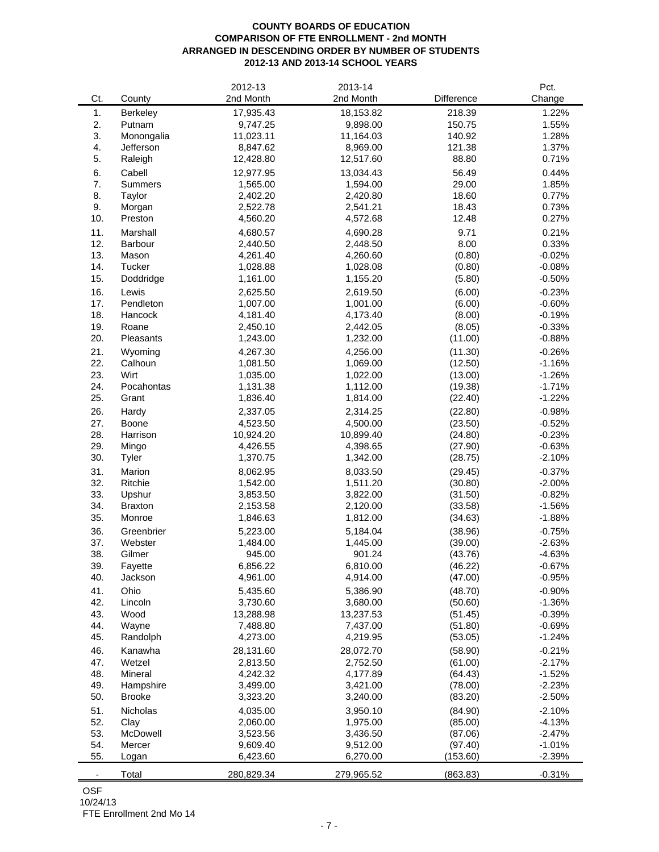# **COUNTY BOARDS OF EDUCATION COMPARISON OF FTE ENROLLMENT - 2nd MONTH ARRANGED IN DESCENDING ORDER BY NUMBER OF STUDENTS 2012-13 AND 2013-14 SCHOOL YEARS**

|                          |                     | 2012-13    | 2013-14    |                  | Pct.                 |
|--------------------------|---------------------|------------|------------|------------------|----------------------|
| Ct.                      | County              | 2nd Month  | 2nd Month  | Difference       | Change               |
| 1.                       | Berkeley            | 17,935.43  | 18,153.82  | 218.39           | 1.22%                |
| 2.                       | Putnam              | 9,747.25   | 9,898.00   | 150.75           | 1.55%                |
| 3.                       | Monongalia          | 11,023.11  | 11,164.03  | 140.92           | 1.28%                |
| 4.                       | Jefferson           | 8,847.62   | 8,969.00   | 121.38           | 1.37%                |
| 5.                       | Raleigh             | 12,428.80  | 12,517.60  | 88.80            | 0.71%                |
| 6.                       | Cabell              | 12,977.95  | 13,034.43  | 56.49            | 0.44%                |
| 7.                       | <b>Summers</b>      | 1,565.00   | 1,594.00   | 29.00            | 1.85%                |
| 8.                       | Taylor              | 2,402.20   | 2,420.80   | 18.60            | 0.77%                |
| 9.                       | Morgan              | 2,522.78   | 2,541.21   | 18.43            | 0.73%                |
| 10.                      | Preston             | 4,560.20   | 4,572.68   | 12.48            | 0.27%                |
| 11.                      |                     |            |            | 9.71             |                      |
| 12.                      | Marshall<br>Barbour | 4,680.57   | 4,690.28   | 8.00             | 0.21%<br>0.33%       |
| 13.                      |                     | 2,440.50   | 2,448.50   |                  |                      |
| 14.                      | Mason<br>Tucker     | 4,261.40   | 4,260.60   | (0.80)<br>(0.80) | $-0.02%$<br>$-0.08%$ |
| 15.                      |                     | 1,028.88   | 1,028.08   |                  | $-0.50%$             |
|                          | Doddridge           | 1,161.00   | 1,155.20   | (5.80)           |                      |
| 16.                      | Lewis               | 2,625.50   | 2,619.50   | (6.00)           | $-0.23%$             |
| 17.                      | Pendleton           | 1,007.00   | 1,001.00   | (6.00)           | $-0.60%$             |
| 18.                      | Hancock             | 4,181.40   | 4,173.40   | (8.00)           | $-0.19%$             |
| 19.                      | Roane               | 2,450.10   | 2,442.05   | (8.05)           | $-0.33%$             |
| 20.                      | Pleasants           | 1,243.00   | 1,232.00   | (11.00)          | $-0.88%$             |
| 21.                      | Wyoming             | 4,267.30   | 4,256.00   | (11.30)          | $-0.26%$             |
| 22.                      | Calhoun             | 1,081.50   | 1,069.00   | (12.50)          | $-1.16%$             |
| 23.                      | Wirt                | 1,035.00   | 1,022.00   | (13.00)          | $-1.26%$             |
| 24.                      | Pocahontas          | 1,131.38   | 1,112.00   | (19.38)          | $-1.71%$             |
| 25.                      | Grant               | 1,836.40   | 1,814.00   | (22.40)          | $-1.22%$             |
| 26.                      | Hardy               | 2,337.05   | 2,314.25   | (22.80)          | $-0.98%$             |
| 27.                      | Boone               | 4,523.50   | 4,500.00   | (23.50)          | $-0.52%$             |
| 28.                      | Harrison            | 10,924.20  | 10,899.40  | (24.80)          | $-0.23%$             |
| 29.                      | Mingo               | 4,426.55   | 4,398.65   | (27.90)          | $-0.63%$             |
| 30.                      | Tyler               | 1,370.75   | 1,342.00   | (28.75)          | $-2.10%$             |
| 31.                      | Marion              | 8,062.95   | 8,033.50   | (29.45)          | $-0.37%$             |
| 32.                      | Ritchie             | 1,542.00   | 1,511.20   | (30.80)          | $-2.00%$             |
| 33.                      | Upshur              | 3,853.50   | 3,822.00   | (31.50)          | $-0.82%$             |
| 34.                      | <b>Braxton</b>      | 2,153.58   | 2,120.00   | (33.58)          | $-1.56%$             |
| 35.                      | Monroe              | 1,846.63   | 1,812.00   | (34.63)          | $-1.88%$             |
| 36.                      | Greenbrier          | 5,223.00   | 5,184.04   | (38.96)          | $-0.75%$             |
| 37.                      | Webster             | 1,484.00   | 1,445.00   | (39.00)          | $-2.63%$             |
| 38.                      | Gilmer              | 945.00     | 901.24     | (43.76)          | $-4.63%$             |
| 39.                      | Fayette             | 6,856.22   | 6,810.00   | (46.22)          | $-0.67%$             |
| 40.                      | Jackson             | 4,961.00   | 4,914.00   | (47.00)          | $-0.95%$             |
| 41.                      | Ohio                | 5,435.60   | 5,386.90   | (48.70)          | $-0.90%$             |
| 42.                      | Lincoln             | 3,730.60   | 3,680.00   | (50.60)          | $-1.36%$             |
| 43.                      | Wood                | 13,288.98  | 13,237.53  | (51.45)          | $-0.39%$             |
| 44.                      | Wayne               | 7,488.80   | 7,437.00   | (51.80)          | $-0.69%$             |
| 45.                      | Randolph            | 4,273.00   | 4,219.95   | (53.05)          | $-1.24%$             |
| 46.                      | Kanawha             | 28,131.60  | 28,072.70  | (58.90)          | $-0.21%$             |
| 47.                      | Wetzel              | 2,813.50   | 2,752.50   | (61.00)          | $-2.17%$             |
| 48.                      | Mineral             | 4,242.32   | 4,177.89   | (64.43)          | $-1.52%$             |
| 49.                      | Hampshire           | 3,499.00   | 3,421.00   | (78.00)          | $-2.23%$             |
| 50.                      | <b>Brooke</b>       | 3,323.20   | 3,240.00   | (83.20)          | $-2.50%$             |
| 51.                      | Nicholas            | 4,035.00   | 3,950.10   | (84.90)          | $-2.10%$             |
| 52.                      | Clay                | 2,060.00   | 1,975.00   | (85.00)          | $-4.13%$             |
| 53.                      | McDowell            | 3,523.56   | 3,436.50   | (87.06)          | $-2.47%$             |
| 54.                      | Mercer              | 9,609.40   | 9,512.00   | (97.40)          | $-1.01%$             |
| 55.                      | Logan               | 6,423.60   | 6,270.00   | (153.60)         | $-2.39%$             |
| $\overline{\phantom{a}}$ | Total               | 280,829.34 | 279,965.52 | (863.83)         | $-0.31%$             |
|                          |                     |            |            |                  |                      |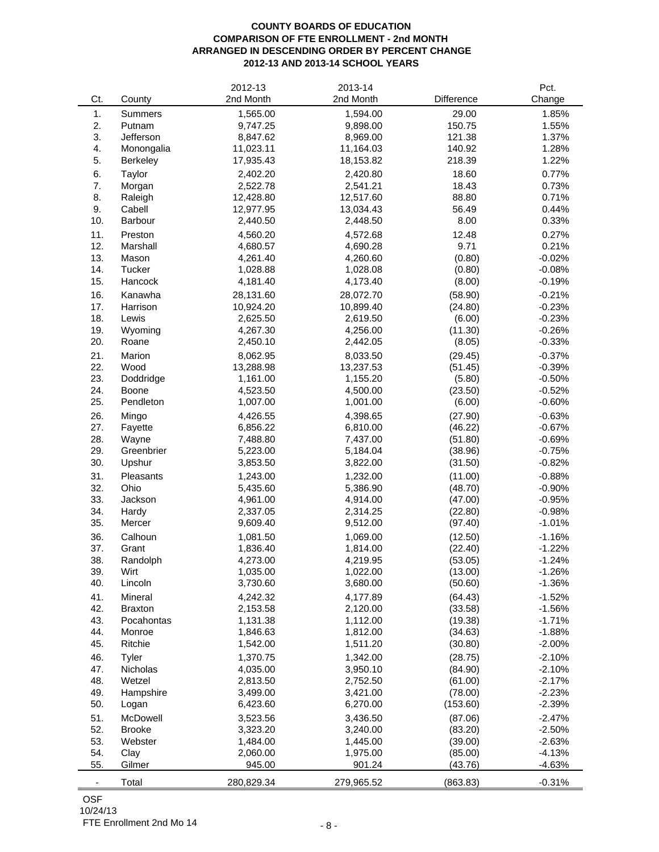# **COUNTY BOARDS OF EDUCATION COMPARISON OF FTE ENROLLMENT - 2nd MONTH ARRANGED IN DESCENDING ORDER BY PERCENT CHANGE 2012-13 AND 2013-14 SCHOOL YEARS**

|                          |                | 2012-13    | 2013-14    |            | Pct.     |
|--------------------------|----------------|------------|------------|------------|----------|
| Ct.                      | County         | 2nd Month  | 2nd Month  | Difference | Change   |
| 1.                       | <b>Summers</b> | 1,565.00   | 1,594.00   | 29.00      | 1.85%    |
| 2.                       | Putnam         | 9,747.25   | 9,898.00   | 150.75     | 1.55%    |
| 3.                       | Jefferson      | 8,847.62   | 8,969.00   | 121.38     | 1.37%    |
| 4.                       | Monongalia     | 11,023.11  | 11,164.03  | 140.92     | 1.28%    |
| 5.                       | Berkeley       | 17,935.43  | 18,153.82  | 218.39     | 1.22%    |
| 6.                       | Taylor         | 2,402.20   | 2,420.80   | 18.60      | 0.77%    |
| 7.                       | Morgan         | 2,522.78   | 2,541.21   | 18.43      | 0.73%    |
| 8.                       | Raleigh        | 12,428.80  | 12,517.60  | 88.80      | 0.71%    |
| 9.                       | Cabell         | 12,977.95  | 13,034.43  | 56.49      | 0.44%    |
| 10.                      | Barbour        | 2,440.50   | 2,448.50   | 8.00       | 0.33%    |
| 11.                      | Preston        | 4,560.20   | 4,572.68   | 12.48      | 0.27%    |
| 12.                      | Marshall       | 4,680.57   | 4,690.28   | 9.71       | 0.21%    |
| 13.                      | Mason          | 4,261.40   | 4,260.60   | (0.80)     | $-0.02%$ |
| 14.                      | Tucker         | 1,028.88   | 1,028.08   | (0.80)     | $-0.08%$ |
| 15.                      | Hancock        | 4,181.40   | 4,173.40   | (8.00)     | $-0.19%$ |
|                          |                |            |            |            |          |
| 16.                      | Kanawha        | 28,131.60  | 28,072.70  | (58.90)    | $-0.21%$ |
| 17.                      | Harrison       | 10,924.20  | 10,899.40  | (24.80)    | $-0.23%$ |
| 18.                      | Lewis          | 2,625.50   | 2,619.50   | (6.00)     | $-0.23%$ |
| 19.                      | Wyoming        | 4,267.30   | 4,256.00   | (11.30)    | $-0.26%$ |
| 20.                      | Roane          | 2,450.10   | 2,442.05   | (8.05)     | $-0.33%$ |
| 21.                      | Marion         | 8,062.95   | 8,033.50   | (29.45)    | $-0.37%$ |
| 22.                      | Wood           | 13,288.98  | 13,237.53  | (51.45)    | $-0.39%$ |
| 23.                      | Doddridge      | 1,161.00   | 1,155.20   | (5.80)     | $-0.50%$ |
| 24.                      | Boone          | 4,523.50   | 4,500.00   | (23.50)    | $-0.52%$ |
| 25.                      | Pendleton      | 1,007.00   | 1,001.00   | (6.00)     | $-0.60%$ |
| 26.                      | Mingo          | 4,426.55   | 4,398.65   | (27.90)    | $-0.63%$ |
| 27.                      | Fayette        | 6,856.22   | 6,810.00   | (46.22)    | $-0.67%$ |
| 28.                      | Wayne          | 7,488.80   | 7,437.00   | (51.80)    | $-0.69%$ |
| 29.                      | Greenbrier     | 5,223.00   | 5,184.04   | (38.96)    | $-0.75%$ |
| 30.                      | Upshur         | 3,853.50   | 3,822.00   | (31.50)    | $-0.82%$ |
| 31.                      | Pleasants      | 1,243.00   | 1,232.00   | (11.00)    | $-0.88%$ |
| 32.                      | Ohio           | 5,435.60   | 5,386.90   | (48.70)    | $-0.90%$ |
| 33.                      | Jackson        | 4,961.00   | 4,914.00   | (47.00)    | $-0.95%$ |
| 34.                      | Hardy          | 2,337.05   | 2,314.25   | (22.80)    | $-0.98%$ |
| 35.                      | Mercer         | 9,609.40   | 9,512.00   | (97.40)    | $-1.01%$ |
| 36.                      | Calhoun        | 1,081.50   | 1,069.00   | (12.50)    | $-1.16%$ |
| 37.                      | Grant          | 1,836.40   | 1,814.00   | (22.40)    | $-1.22%$ |
| 38.                      | Randolph       | 4,273.00   | 4,219.95   | (53.05)    | $-1.24%$ |
| 39.                      | Wirt           | 1,035.00   | 1,022.00   | (13.00)    | $-1.26%$ |
| 40.                      | Lincoln        | 3,730.60   | 3,680.00   | (50.60)    | $-1.36%$ |
| 41.                      | Mineral        | 4,242.32   | 4,177.89   | (64.43)    | $-1.52%$ |
| 42.                      | <b>Braxton</b> | 2,153.58   | 2,120.00   | (33.58)    | $-1.56%$ |
| 43.                      | Pocahontas     | 1,131.38   | 1,112.00   | (19.38)    | $-1.71%$ |
| 44.                      | Monroe         | 1,846.63   | 1,812.00   | (34.63)    | $-1.88%$ |
| 45.                      | Ritchie        | 1,542.00   | 1,511.20   | (30.80)    | $-2.00%$ |
| 46.                      | Tyler          | 1,370.75   | 1,342.00   | (28.75)    | $-2.10%$ |
| 47.                      | Nicholas       | 4,035.00   | 3,950.10   | (84.90)    | $-2.10%$ |
| 48.                      | Wetzel         | 2,813.50   | 2,752.50   | (61.00)    | $-2.17%$ |
| 49.                      | Hampshire      | 3,499.00   | 3,421.00   | (78.00)    | $-2.23%$ |
| 50.                      | Logan          | 6,423.60   | 6,270.00   | (153.60)   | $-2.39%$ |
| 51.                      | McDowell       | 3,523.56   | 3,436.50   | (87.06)    | $-2.47%$ |
| 52.                      | <b>Brooke</b>  | 3,323.20   | 3,240.00   | (83.20)    | $-2.50%$ |
| 53.                      | Webster        | 1,484.00   | 1,445.00   | (39.00)    | $-2.63%$ |
| 54.                      | Clay           | 2,060.00   | 1,975.00   | (85.00)    | $-4.13%$ |
| 55.                      | Gilmer         | 945.00     | 901.24     | (43.76)    | $-4.63%$ |
|                          |                |            |            |            |          |
| $\overline{\phantom{a}}$ | Total          | 280,829.34 | 279,965.52 | (863.83)   | $-0.31%$ |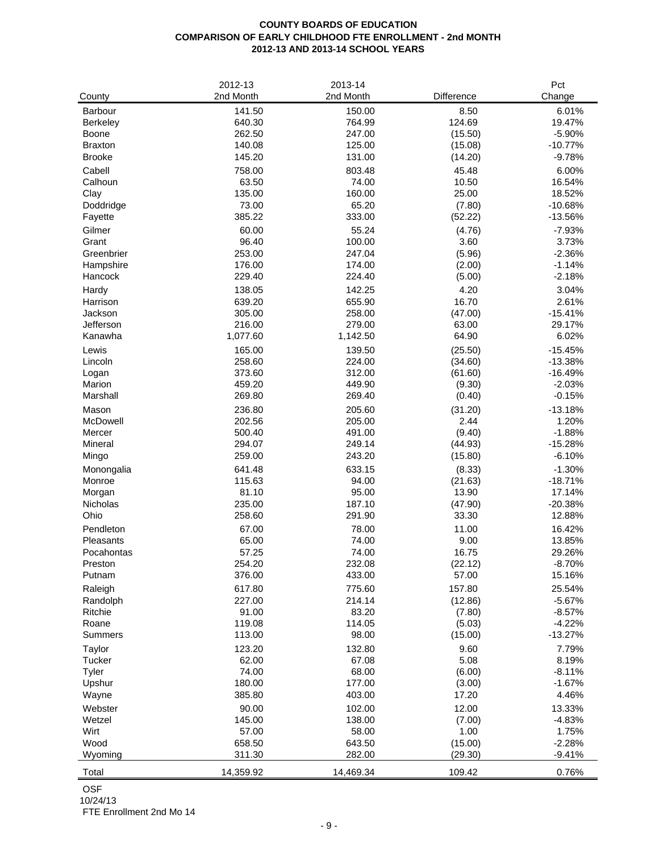# **COUNTY BOARDS OF EDUCATION COMPARISON OF EARLY CHILDHOOD FTE ENROLLMENT - 2nd MONTH 2012-13 AND 2013-14 SCHOOL YEARS**

| County               | 2012-13<br>2nd Month | 2013-14<br>2nd Month | Difference       | Pct<br>Change         |
|----------------------|----------------------|----------------------|------------------|-----------------------|
| Barbour              | 141.50               | 150.00               | 8.50             | 6.01%                 |
| <b>Berkeley</b>      | 640.30               | 764.99               | 124.69           | 19.47%                |
| Boone                | 262.50               | 247.00               | (15.50)          | $-5.90%$              |
| <b>Braxton</b>       | 140.08               | 125.00               | (15.08)          | $-10.77%$             |
| <b>Brooke</b>        | 145.20               | 131.00               | (14.20)          | $-9.78%$              |
| Cabell               | 758.00               | 803.48               | 45.48            | 6.00%                 |
| Calhoun              | 63.50                | 74.00                | 10.50            | 16.54%                |
| Clay                 | 135.00               | 160.00               | 25.00            | 18.52%                |
| Doddridge            | 73.00                | 65.20                | (7.80)           | $-10.68%$             |
| Fayette              | 385.22               | 333.00               | (52.22)          | $-13.56%$             |
| Gilmer               | 60.00                | 55.24                | (4.76)           | $-7.93%$              |
| Grant                | 96.40                | 100.00               | 3.60             | 3.73%                 |
| Greenbrier           | 253.00               | 247.04               | (5.96)           | $-2.36%$              |
| Hampshire            | 176.00               | 174.00               | (2.00)           | $-1.14%$              |
| Hancock              | 229.40               | 224.40               | (5.00)           | $-2.18%$              |
| Hardy                | 138.05               | 142.25               | 4.20             | 3.04%                 |
| Harrison             | 639.20               | 655.90               | 16.70            | 2.61%                 |
| Jackson              | 305.00               | 258.00               | (47.00)          | $-15.41%$             |
| Jefferson            | 216.00               | 279.00               | 63.00            | 29.17%                |
| Kanawha              | 1,077.60             | 1,142.50             | 64.90            | 6.02%                 |
| Lewis                | 165.00               | 139.50               | (25.50)          | $-15.45%$             |
| Lincoln              | 258.60               | 224.00               | (34.60)          | $-13.38%$             |
| Logan                | 373.60               | 312.00               | (61.60)          | $-16.49%$             |
| Marion               | 459.20               | 449.90               | (9.30)           | $-2.03%$              |
| Marshall             | 269.80               | 269.40               | (0.40)           | $-0.15%$              |
| Mason                | 236.80               | 205.60               | (31.20)          | $-13.18%$             |
| McDowell             | 202.56               | 205.00               | 2.44             | 1.20%                 |
| Mercer               | 500.40               | 491.00               | (9.40)           | $-1.88%$              |
| Mineral              | 294.07<br>259.00     | 249.14<br>243.20     | (44.93)          | $-15.28%$             |
| Mingo                |                      |                      | (15.80)          | $-6.10%$              |
| Monongalia<br>Monroe | 641.48<br>115.63     | 633.15<br>94.00      | (8.33)           | $-1.30%$<br>$-18.71%$ |
| Morgan               | 81.10                | 95.00                | (21.63)<br>13.90 | 17.14%                |
| Nicholas             | 235.00               | 187.10               | (47.90)          | $-20.38%$             |
| Ohio                 | 258.60               | 291.90               | 33.30            | 12.88%                |
| Pendleton            | 67.00                | 78.00                | 11.00            | 16.42%                |
| Pleasants            | 65.00                | 74.00                | 9.00             | 13.85%                |
| Pocahontas           | 57.25                | 74.00                | 16.75            | 29.26%                |
| Preston              | 254.20               | 232.08               | (22.12)          | $-8.70%$              |
| Putnam               | 376.00               | 433.00               | 57.00            | 15.16%                |
| Raleigh              | 617.80               | 775.60               | 157.80           | 25.54%                |
| Randolph             | 227.00               | 214.14               | (12.86)          | $-5.67%$              |
| Ritchie              | 91.00                | 83.20                | (7.80)           | $-8.57%$              |
| Roane                | 119.08               | 114.05               | (5.03)           | $-4.22%$              |
| <b>Summers</b>       | 113.00               | 98.00                | (15.00)          | $-13.27%$             |
| Taylor               | 123.20               | 132.80               | 9.60             | 7.79%                 |
| Tucker               | 62.00                | 67.08                | 5.08             | 8.19%                 |
| Tyler                | 74.00                | 68.00                | (6.00)           | $-8.11%$              |
| Upshur               | 180.00               | 177.00               | (3.00)           | $-1.67%$              |
| Wayne                | 385.80               | 403.00               | 17.20            | 4.46%                 |
| Webster              | 90.00                | 102.00               | 12.00            | 13.33%                |
| Wetzel               | 145.00               | 138.00               | (7.00)           | $-4.83%$              |
| Wirt                 | 57.00                | 58.00                | 1.00             | 1.75%                 |
| Wood                 | 658.50               | 643.50               | (15.00)          | $-2.28%$              |
| Wyoming              | 311.30               | 282.00               | (29.30)          | $-9.41%$              |
| Total                | 14,359.92            | 14,469.34            | 109.42           | 0.76%                 |

OSF

10/24/13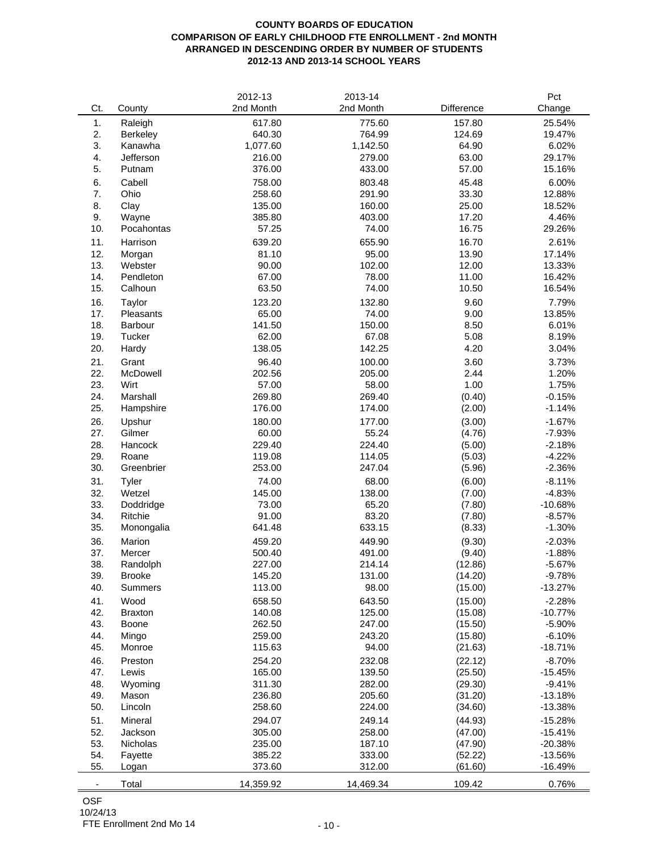# **COUNTY BOARDS OF EDUCATION COMPARISON OF EARLY CHILDHOOD FTE ENROLLMENT - 2nd MONTH ARRANGED IN DESCENDING ORDER BY NUMBER OF STUDENTS 2012-13 AND 2013-14 SCHOOL YEARS**

|                |                 | 2012-13   | 2013-14   |            | Pct       |
|----------------|-----------------|-----------|-----------|------------|-----------|
| Ct.            | County          | 2nd Month | 2nd Month | Difference | Change    |
| 1.             | Raleigh         | 617.80    | 775.60    | 157.80     | 25.54%    |
| 2.             | <b>Berkeley</b> | 640.30    | 764.99    | 124.69     | 19.47%    |
| 3.             | Kanawha         | 1,077.60  | 1,142.50  | 64.90      | 6.02%     |
| 4.             | Jefferson       | 216.00    | 279.00    | 63.00      | 29.17%    |
| 5.             | Putnam          | 376.00    | 433.00    | 57.00      | 15.16%    |
| 6.             | Cabell          | 758.00    | 803.48    | 45.48      | 6.00%     |
| 7.             | Ohio            | 258.60    | 291.90    | 33.30      | 12.88%    |
| 8.             | Clay            | 135.00    | 160.00    | 25.00      | 18.52%    |
| 9.             | Wayne           | 385.80    | 403.00    | 17.20      | 4.46%     |
| 10.            | Pocahontas      | 57.25     | 74.00     | 16.75      | 29.26%    |
| 11.            | Harrison        | 639.20    | 655.90    | 16.70      | 2.61%     |
| 12.            | Morgan          | 81.10     | 95.00     | 13.90      | 17.14%    |
| 13.            | Webster         | 90.00     | 102.00    | 12.00      | 13.33%    |
| 14.            | Pendleton       | 67.00     | 78.00     | 11.00      | 16.42%    |
| 15.            | Calhoun         | 63.50     | 74.00     | 10.50      | 16.54%    |
| 16.            | Taylor          | 123.20    | 132.80    | 9.60       | 7.79%     |
| 17.            | Pleasants       | 65.00     | 74.00     | 9.00       | 13.85%    |
| 18.            | Barbour         | 141.50    | 150.00    | 8.50       | 6.01%     |
| 19.            | Tucker          | 62.00     | 67.08     | 5.08       | 8.19%     |
| 20.            | Hardy           | 138.05    | 142.25    | 4.20       | 3.04%     |
| 21.            | Grant           | 96.40     | 100.00    | 3.60       | 3.73%     |
| 22.            | McDowell        | 202.56    | 205.00    | 2.44       | 1.20%     |
| 23.            | Wirt            | 57.00     | 58.00     | 1.00       | 1.75%     |
| 24.            | Marshall        | 269.80    | 269.40    | (0.40)     | $-0.15%$  |
| 25.            | Hampshire       | 176.00    | 174.00    | (2.00)     | $-1.14%$  |
| 26.            | Upshur          | 180.00    | 177.00    | (3.00)     | $-1.67%$  |
| 27.            | Gilmer          | 60.00     | 55.24     | (4.76)     | $-7.93%$  |
| 28.            | Hancock         | 229.40    | 224.40    | (5.00)     | $-2.18%$  |
| 29.            | Roane           | 119.08    | 114.05    | (5.03)     | $-4.22%$  |
| 30.            | Greenbrier      | 253.00    | 247.04    | (5.96)     | $-2.36%$  |
| 31.            | Tyler           | 74.00     | 68.00     | (6.00)     | $-8.11%$  |
| 32.            | Wetzel          | 145.00    | 138.00    | (7.00)     | $-4.83%$  |
| 33.            | Doddridge       | 73.00     | 65.20     | (7.80)     | $-10.68%$ |
| 34.            | Ritchie         | 91.00     | 83.20     | (7.80)     | $-8.57%$  |
| 35.            | Monongalia      | 641.48    | 633.15    | (8.33)     | $-1.30%$  |
| 36.            | Marion          | 459.20    | 449.90    | (9.30)     | $-2.03%$  |
| 37.            | Mercer          | 500.40    | 491.00    | (9.40)     | $-1.88%$  |
| 38.            | Randolph        | 227.00    | 214.14    | (12.86)    | $-5.67%$  |
| 39.            | <b>Brooke</b>   | 145.20    | 131.00    | (14.20)    | $-9.78%$  |
| 40.            | Summers         | 113.00    | 98.00     | (15.00)    | $-13.27%$ |
| 41.            | Wood            | 658.50    | 643.50    | (15.00)    | $-2.28%$  |
| 42.            | <b>Braxton</b>  | 140.08    | 125.00    | (15.08)    | $-10.77%$ |
| 43.            | Boone           | 262.50    | 247.00    | (15.50)    | $-5.90%$  |
| 44.            | Mingo           | 259.00    | 243.20    | (15.80)    | $-6.10%$  |
| 45.            | Monroe          | 115.63    | 94.00     | (21.63)    | $-18.71%$ |
| 46.            | Preston         | 254.20    | 232.08    | (22.12)    | $-8.70%$  |
| 47.            | Lewis           | 165.00    | 139.50    | (25.50)    | $-15.45%$ |
| 48.            | Wyoming         | 311.30    | 282.00    | (29.30)    | $-9.41%$  |
| 49.            | Mason           | 236.80    | 205.60    | (31.20)    | $-13.18%$ |
| 50.            | Lincoln         | 258.60    | 224.00    | (34.60)    | $-13.38%$ |
| 51.            | Mineral         | 294.07    | 249.14    | (44.93)    | $-15.28%$ |
| 52.            | Jackson         | 305.00    | 258.00    | (47.00)    | $-15.41%$ |
| 53.            | <b>Nicholas</b> | 235.00    | 187.10    | (47.90)    | $-20.38%$ |
| 54.            | Fayette         | 385.22    | 333.00    | (52.22)    | $-13.56%$ |
| 55.            | Logan           | 373.60    | 312.00    | (61.60)    | $-16.49%$ |
|                |                 |           |           |            |           |
| $\blacksquare$ | Total           | 14,359.92 | 14,469.34 | 109.42     | 0.76%     |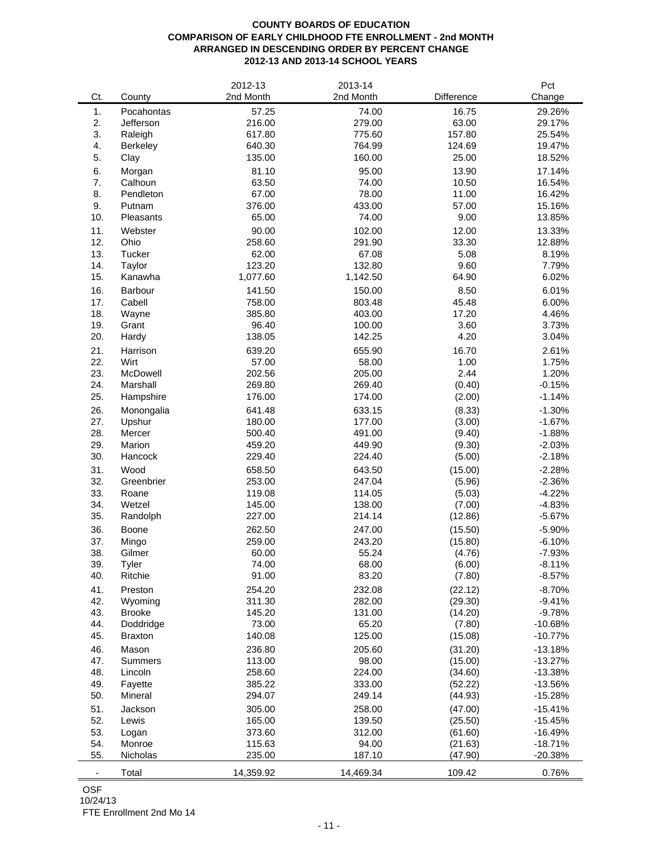# **COUNTY BOARDS OF EDUCATION COMPARISON OF EARLY CHILDHOOD FTE ENROLLMENT - 2nd MONTH ARRANGED IN DESCENDING ORDER BY PERCENT CHANGE 2012-13 AND 2013-14 SCHOOL YEARS**

|            |                  | 2012-13          | 2013-14          |                  | Pct                  |
|------------|------------------|------------------|------------------|------------------|----------------------|
| Ct.        | County           | 2nd Month        | 2nd Month        | Difference       | Change               |
| 1.         | Pocahontas       | 57.25            | 74.00            | 16.75            | 29.26%               |
| 2.         | Jefferson        | 216.00           | 279.00           | 63.00            | 29.17%               |
| 3.         | Raleigh          | 617.80           | 775.60           | 157.80           | 25.54%               |
| 4.         | Berkeley         | 640.30           | 764.99           | 124.69           | 19.47%               |
| 5.         | Clay             | 135.00           | 160.00           | 25.00            | 18.52%               |
| 6.         | Morgan           | 81.10            | 95.00            | 13.90            | 17.14%               |
| 7.         | Calhoun          | 63.50            | 74.00            | 10.50            | 16.54%               |
| 8.         | Pendleton        | 67.00            | 78.00            | 11.00            | 16.42%               |
| 9.         | Putnam           | 376.00           | 433.00           | 57.00            | 15.16%               |
| 10.        | Pleasants        | 65.00            | 74.00            | 9.00             | 13.85%               |
| 11.        | Webster          | 90.00            | 102.00           | 12.00            | 13.33%               |
| 12.        | Ohio             | 258.60           | 291.90           | 33.30            | 12.88%               |
| 13.        | Tucker           | 62.00            | 67.08            | 5.08             | 8.19%                |
| 14.        | Taylor           | 123.20           | 132.80           | 9.60             | 7.79%                |
| 15.        | Kanawha          | 1,077.60         | 1,142.50         | 64.90            | 6.02%                |
| 16.        | Barbour          | 141.50           | 150.00           | 8.50             | 6.01%                |
| 17.        | Cabell           | 758.00           | 803.48           | 45.48            | 6.00%                |
| 18.        | Wayne            | 385.80           | 403.00           | 17.20            | 4.46%                |
| 19.        | Grant            | 96.40            | 100.00           | 3.60             | 3.73%                |
| 20.        | Hardy            | 138.05           | 142.25           | 4.20             | 3.04%                |
| 21.        | Harrison         | 639.20           | 655.90           | 16.70            | 2.61%                |
| 22.        | Wirt             | 57.00            | 58.00            | 1.00             | 1.75%                |
| 23.        | McDowell         | 202.56           | 205.00           | 2.44             | 1.20%                |
| 24.        | Marshall         | 269.80           | 269.40           | (0.40)           | $-0.15%$             |
| 25.        | Hampshire        | 176.00           | 174.00           | (2.00)           | $-1.14%$             |
|            |                  |                  |                  |                  |                      |
| 26.<br>27. | Monongalia       | 641.48<br>180.00 | 633.15<br>177.00 | (8.33)           | $-1.30%$             |
| 28.        | Upshur<br>Mercer | 500.40           | 491.00           | (3.00)           | $-1.67%$<br>$-1.88%$ |
| 29.        | Marion           | 459.20           | 449.90           | (9.40)<br>(9.30) | $-2.03%$             |
| 30.        | Hancock          | 229.40           | 224.40           | (5.00)           | $-2.18%$             |
|            |                  |                  |                  |                  |                      |
| 31.        | Wood             | 658.50           | 643.50           | (15.00)          | $-2.28%$             |
| 32.        | Greenbrier       | 253.00           | 247.04           | (5.96)           | $-2.36%$             |
| 33.<br>34. | Roane<br>Wetzel  | 119.08<br>145.00 | 114.05<br>138.00 | (5.03)<br>(7.00) | $-4.22%$<br>$-4.83%$ |
| 35.        | Randolph         | 227.00           | 214.14           | (12.86)          | $-5.67%$             |
|            |                  |                  |                  |                  |                      |
| 36.        | Boone            | 262.50           | 247.00           | (15.50)          | $-5.90%$             |
| 37.        | Mingo            | 259.00           | 243.20           | (15.80)          | $-6.10%$             |
| 38.        | Gilmer           | 60.00            | 55.24            | (4.76)           | $-7.93%$             |
| 39.<br>40. | Tyler<br>Ritchie | 74.00<br>91.00   | 68.00<br>83.20   | (6.00)<br>(7.80) | -8.11%               |
|            |                  |                  |                  |                  | $-8.57%$             |
| 41.        | Preston          | 254.20           | 232.08           | (22.12)          | $-8.70%$             |
| 42.        | Wyoming          | 311.30           | 282.00           | (29.30)          | $-9.41%$             |
| 43.        | <b>Brooke</b>    | 145.20           | 131.00           | (14.20)          | $-9.78%$             |
| 44.        | Doddridge        | 73.00            | 65.20            | (7.80)           | $-10.68%$            |
| 45.        | <b>Braxton</b>   | 140.08           | 125.00           | (15.08)          | $-10.77%$            |
| 46.        | Mason            | 236.80           | 205.60           | (31.20)          | $-13.18%$            |
| 47.        | Summers          | 113.00           | 98.00            | (15.00)          | $-13.27%$            |
| 48.        | Lincoln          | 258.60           | 224.00           | (34.60)          | $-13.38%$            |
| 49.        | Fayette          | 385.22           | 333.00           | (52.22)          | $-13.56%$            |
| 50.        | Mineral          | 294.07           | 249.14           | (44.93)          | $-15.28%$            |
| 51.        | Jackson          | 305.00           | 258.00           | (47.00)          | $-15.41%$            |
| 52.        | Lewis            | 165.00           | 139.50           | (25.50)          | $-15.45%$            |
| 53.        | Logan            | 373.60           | 312.00           | (61.60)          | $-16.49%$            |
| 54.        | Monroe           | 115.63           | 94.00            | (21.63)          | $-18.71%$            |
| 55.        | Nicholas         | 235.00           | 187.10           | (47.90)          | $-20.38%$            |
|            | Total            | 14,359.92        | 14,469.34        | 109.42           | 0.76%                |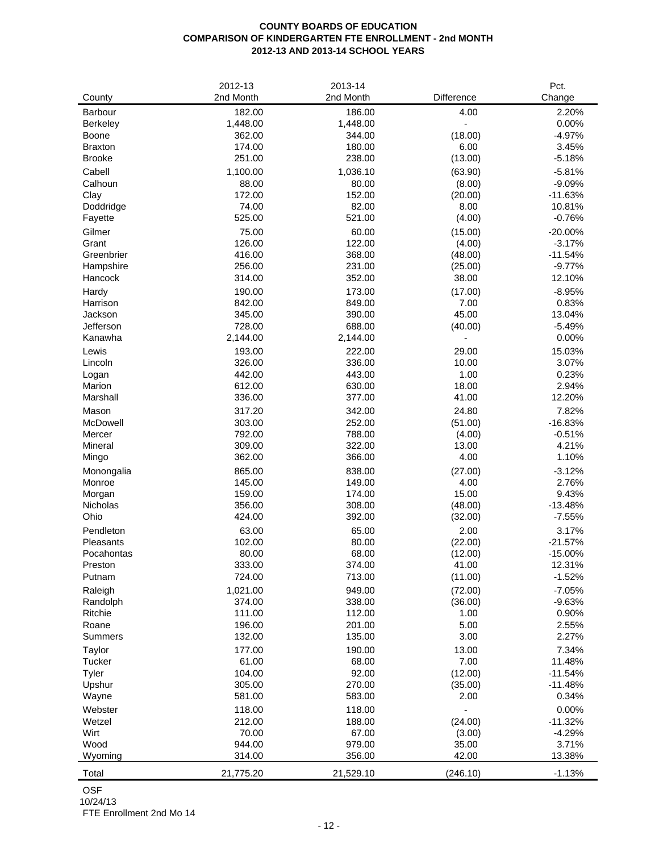## **COUNTY BOARDS OF EDUCATION COMPARISON OF KINDERGARTEN FTE ENROLLMENT - 2nd MONTH 2012-13 AND 2013-14 SCHOOL YEARS**

| County                     | 2012-13<br>2nd Month | 2013-14<br>2nd Month | Difference             | Pct.<br>Change         |
|----------------------------|----------------------|----------------------|------------------------|------------------------|
|                            |                      |                      |                        |                        |
| Barbour<br><b>Berkeley</b> | 182.00<br>1,448.00   | 186.00<br>1,448.00   | 4.00<br>$\blacksquare$ | 2.20%<br>0.00%         |
| Boone                      | 362.00               | 344.00               | (18.00)                | $-4.97%$               |
| <b>Braxton</b>             | 174.00               | 180.00               | 6.00                   | 3.45%                  |
| <b>Brooke</b>              | 251.00               | 238.00               | (13.00)                | $-5.18%$               |
| Cabell                     | 1,100.00             | 1,036.10             | (63.90)                | $-5.81%$               |
| Calhoun                    | 88.00                | 80.00                | (8.00)                 | $-9.09%$               |
| Clay                       | 172.00               | 152.00               | (20.00)                | $-11.63%$              |
| Doddridge                  | 74.00                | 82.00                | 8.00                   | 10.81%                 |
| Fayette                    | 525.00               | 521.00               | (4.00)                 | $-0.76%$               |
| Gilmer                     | 75.00                | 60.00                | (15.00)                | $-20.00%$              |
| Grant                      | 126.00               | 122.00               | (4.00)                 | $-3.17%$               |
| Greenbrier                 | 416.00               | 368.00               | (48.00)                | $-11.54%$              |
| Hampshire                  | 256.00               | 231.00               | (25.00)                | $-9.77%$               |
| Hancock                    | 314.00               | 352.00               | 38.00                  | 12.10%                 |
| Hardy                      | 190.00               | 173.00               | (17.00)                | $-8.95%$               |
| Harrison                   | 842.00               | 849.00               | 7.00                   | 0.83%                  |
| Jackson                    | 345.00               | 390.00               | 45.00                  | 13.04%                 |
| Jefferson                  | 728.00               | 688.00               | (40.00)                | $-5.49%$               |
| Kanawha                    | 2,144.00             | 2,144.00             | ٠                      | 0.00%                  |
| Lewis                      | 193.00               | 222.00               | 29.00                  | 15.03%                 |
| Lincoln                    | 326.00               | 336.00               | 10.00                  | 3.07%                  |
| Logan<br>Marion            | 442.00<br>612.00     | 443.00<br>630.00     | 1.00<br>18.00          | 0.23%<br>2.94%         |
| Marshall                   | 336.00               | 377.00               | 41.00                  | 12.20%                 |
| Mason                      | 317.20               | 342.00               | 24.80                  | 7.82%                  |
| McDowell                   | 303.00               | 252.00               | (51.00)                | $-16.83%$              |
| Mercer                     | 792.00               | 788.00               | (4.00)                 | $-0.51%$               |
| Mineral                    | 309.00               | 322.00               | 13.00                  | 4.21%                  |
| Mingo                      | 362.00               | 366.00               | 4.00                   | 1.10%                  |
| Monongalia                 | 865.00               | 838.00               | (27.00)                | $-3.12%$               |
| Monroe                     | 145.00               | 149.00               | 4.00                   | 2.76%                  |
| Morgan                     | 159.00               | 174.00               | 15.00                  | 9.43%                  |
| Nicholas                   | 356.00               | 308.00               | (48.00)                | $-13.48%$              |
| Ohio                       | 424.00               | 392.00               | (32.00)                | $-7.55%$               |
| Pendleton                  | 63.00                | 65.00                | 2.00                   | 3.17%                  |
| Pleasants                  | 102.00               | 80.00                | (22.00)                | $-21.57%$              |
| Pocahontas                 | 80.00                | 68.00                | (12.00)                | $-15.00%$              |
| Preston                    | 333.00               | 374.00               | 41.00                  | 12.31%                 |
| Putnam                     | 724.00               | 713.00               | (11.00)                | $-1.52%$               |
| Raleigh                    | 1,021.00             | 949.00               | (72.00)                | $-7.05%$               |
| Randolph                   | 374.00               | 338.00               | (36.00)                | $-9.63%$               |
| Ritchie                    | 111.00               | 112.00               | 1.00                   | 0.90%                  |
| Roane<br>Summers           | 196.00<br>132.00     | 201.00               | 5.00<br>3.00           | 2.55%<br>2.27%         |
|                            |                      | 135.00               |                        |                        |
| Taylor                     | 177.00               | 190.00               | 13.00                  | 7.34%                  |
| Tucker                     | 61.00<br>104.00      | 68.00<br>92.00       | 7.00<br>(12.00)        | 11.48%                 |
| Tyler<br>Upshur            | 305.00               | 270.00               | (35.00)                | $-11.54%$<br>$-11.48%$ |
| Wayne                      | 581.00               | 583.00               | 2.00                   | 0.34%                  |
| Webster                    | 118.00               | 118.00               |                        | 0.00%                  |
| Wetzel                     | 212.00               | 188.00               | (24.00)                | $-11.32%$              |
| Wirt                       | 70.00                | 67.00                | (3.00)                 | $-4.29%$               |
| Wood                       | 944.00               | 979.00               | 35.00                  | 3.71%                  |
| Wyoming                    | 314.00               | 356.00               | 42.00                  | 13.38%                 |
| Total                      | 21,775.20            | 21,529.10            | (246.10)               | $-1.13%$               |
|                            |                      |                      |                        |                        |

OSF

10/24/13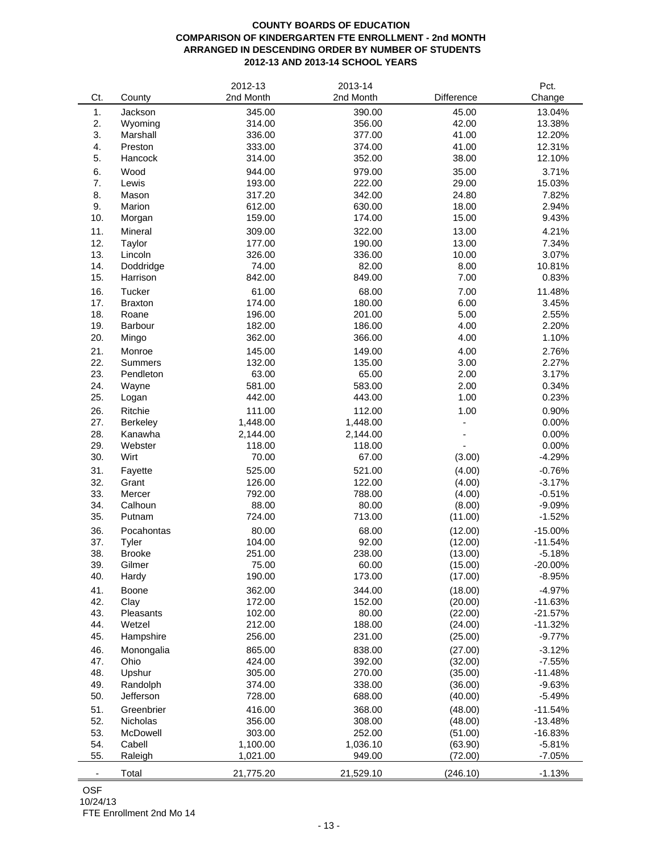# **COUNTY BOARDS OF EDUCATION COMPARISON OF KINDERGARTEN FTE ENROLLMENT - 2nd MONTH ARRANGED IN DESCENDING ORDER BY NUMBER OF STUDENTS 2012-13 AND 2013-14 SCHOOL YEARS**

|                          |                 | 2012-13   | 2013-14   |            | Pct.      |
|--------------------------|-----------------|-----------|-----------|------------|-----------|
| Ct.                      | County          | 2nd Month | 2nd Month | Difference | Change    |
| 1.                       | Jackson         | 345.00    | 390.00    | 45.00      | 13.04%    |
| 2.                       | Wyoming         | 314.00    | 356.00    | 42.00      | 13.38%    |
| 3.                       | Marshall        | 336.00    | 377.00    | 41.00      | 12.20%    |
|                          | Preston         |           |           |            |           |
| 4.                       |                 | 333.00    | 374.00    | 41.00      | 12.31%    |
| 5.                       | Hancock         | 314.00    | 352.00    | 38.00      | 12.10%    |
| 6.                       | Wood            | 944.00    | 979.00    | 35.00      | 3.71%     |
| 7.                       | Lewis           | 193.00    | 222.00    | 29.00      | 15.03%    |
| 8.                       | Mason           | 317.20    | 342.00    | 24.80      | 7.82%     |
| 9.                       | Marion          | 612.00    | 630.00    | 18.00      | 2.94%     |
| 10.                      | Morgan          | 159.00    | 174.00    | 15.00      | 9.43%     |
| 11.                      | Mineral         | 309.00    | 322.00    | 13.00      | 4.21%     |
| 12.                      | Taylor          | 177.00    | 190.00    | 13.00      | 7.34%     |
| 13.                      | Lincoln         | 326.00    | 336.00    | 10.00      | 3.07%     |
| 14.                      | Doddridge       | 74.00     | 82.00     | 8.00       | 10.81%    |
| 15.                      | Harrison        | 842.00    | 849.00    | 7.00       | 0.83%     |
|                          |                 |           |           |            |           |
| 16.                      | Tucker          | 61.00     | 68.00     | 7.00       | 11.48%    |
| 17.                      | <b>Braxton</b>  | 174.00    | 180.00    | 6.00       | 3.45%     |
| 18.                      | Roane           | 196.00    | 201.00    | 5.00       | 2.55%     |
| 19.                      | Barbour         | 182.00    | 186.00    | 4.00       | 2.20%     |
| 20.                      | Mingo           | 362.00    | 366.00    | 4.00       | 1.10%     |
| 21.                      | Monroe          | 145.00    | 149.00    | 4.00       | 2.76%     |
| 22.                      | <b>Summers</b>  | 132.00    | 135.00    | 3.00       | 2.27%     |
| 23.                      | Pendleton       | 63.00     | 65.00     | 2.00       | 3.17%     |
| 24.                      | Wayne           | 581.00    | 583.00    | 2.00       | 0.34%     |
| 25.                      | Logan           | 442.00    | 443.00    | 1.00       | 0.23%     |
|                          |                 |           |           |            |           |
| 26.                      | Ritchie         | 111.00    | 112.00    | 1.00       | 0.90%     |
| 27.                      | <b>Berkeley</b> | 1,448.00  | 1,448.00  |            | 0.00%     |
| 28.                      | Kanawha         | 2,144.00  | 2,144.00  |            | 0.00%     |
| 29.                      | Webster         | 118.00    | 118.00    |            | 0.00%     |
| 30.                      | Wirt            | 70.00     | 67.00     | (3.00)     | $-4.29%$  |
| 31.                      | Fayette         | 525.00    | 521.00    | (4.00)     | $-0.76%$  |
| 32.                      | Grant           | 126.00    | 122.00    | (4.00)     | $-3.17%$  |
| 33.                      | Mercer          | 792.00    | 788.00    | (4.00)     | $-0.51%$  |
| 34.                      | Calhoun         | 88.00     | 80.00     | (8.00)     | $-9.09%$  |
| 35.                      | Putnam          | 724.00    | 713.00    | (11.00)    | $-1.52%$  |
| 36.                      | Pocahontas      | 80.00     | 68.00     | (12.00)    | $-15.00%$ |
| 37.                      | Tyler           | 104.00    | 92.00     | (12.00)    | $-11.54%$ |
| 38.                      | <b>Brooke</b>   | 251.00    | 238.00    |            |           |
|                          |                 |           |           | (13.00)    | $-5.18%$  |
| 39.                      | Gilmer          | 75.00     | 60.00     | (15.00)    | $-20.00%$ |
| 40.                      | Hardy           | 190.00    | 173.00    | (17.00)    | $-8.95%$  |
| 41.                      | Boone           | 362.00    | 344.00    | (18.00)    | $-4.97%$  |
| 42.                      | Clay            | 172.00    | 152.00    | (20.00)    | $-11.63%$ |
| 43.                      | Pleasants       | 102.00    | 80.00     | (22.00)    | $-21.57%$ |
| 44.                      | Wetzel          | 212.00    | 188.00    | (24.00)    | $-11.32%$ |
| 45.                      | Hampshire       | 256.00    | 231.00    | (25.00)    | $-9.77%$  |
| 46.                      | Monongalia      | 865.00    | 838.00    | (27.00)    | $-3.12%$  |
| 47.                      | Ohio            | 424.00    | 392.00    | (32.00)    | $-7.55%$  |
| 48.                      | Upshur          | 305.00    | 270.00    | (35.00)    | $-11.48%$ |
| 49.                      | Randolph        | 374.00    | 338.00    | (36.00)    | $-9.63%$  |
| 50.                      | Jefferson       | 728.00    | 688.00    |            | $-5.49%$  |
|                          |                 |           |           | (40.00)    |           |
| 51.                      | Greenbrier      | 416.00    | 368.00    | (48.00)    | $-11.54%$ |
| 52.                      | Nicholas        | 356.00    | 308.00    | (48.00)    | $-13.48%$ |
| 53.                      | McDowell        | 303.00    | 252.00    | (51.00)    | $-16.83%$ |
| 54.                      | Cabell          | 1,100.00  | 1,036.10  | (63.90)    | $-5.81%$  |
| 55.                      | Raleigh         | 1,021.00  | 949.00    | (72.00)    | $-7.05%$  |
|                          |                 |           |           | (246.10)   |           |
| $\overline{\phantom{a}}$ | Total           | 21,775.20 | 21,529.10 |            | $-1.13%$  |